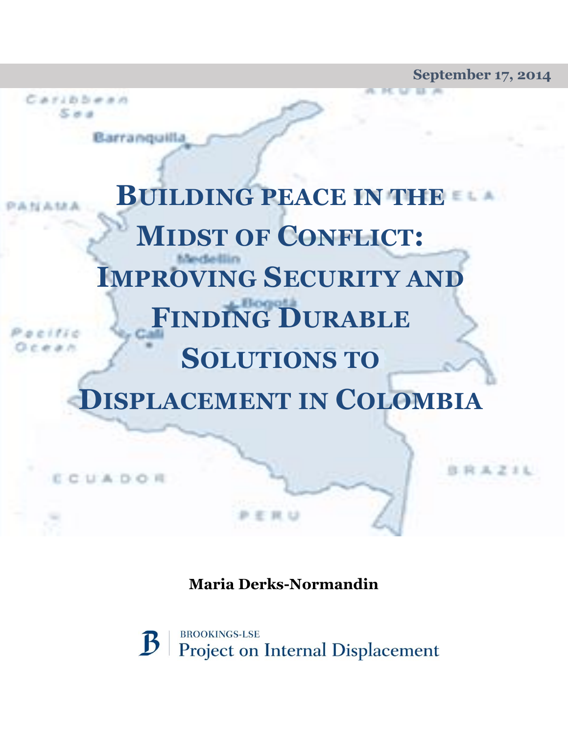**September 17, 2014**

**BRAZIL** 

**BUILDING PEACE IN THE**  NAMI **MIDST OF CONFLICT: IMPROVING SECURITY AND FINDING DURABLE**  # # /1 **SOLUTIONS TO DISPLACEMENT IN COLOMBIA**

**By Todd Wassel**

Caribbean  $5 - 4$ 

Barranguilla

ECUADOR

**Maria Derks-Normandin**

**BROOKINGS-LSE**  $\mathbf B$ **Project on Internal Displacement**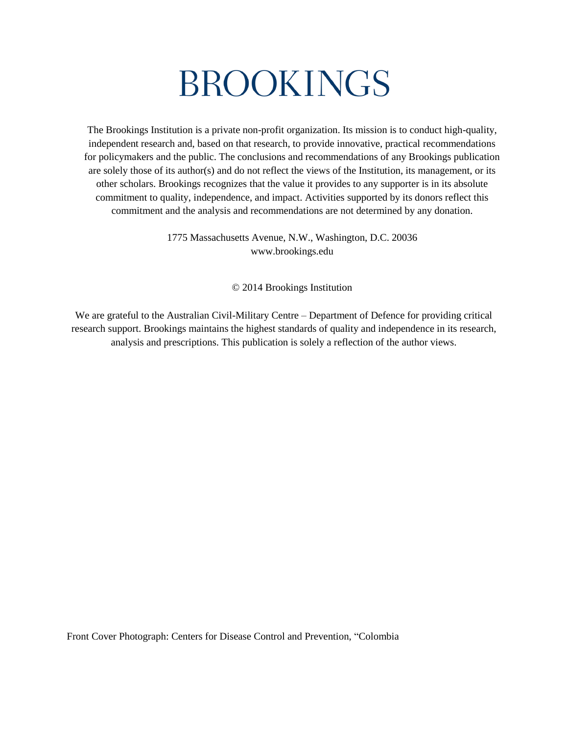# BROOKINGS

The Brookings Institution is a private non-profit organization. Its mission is to conduct high-quality, independent research and, based on that research, to provide innovative, practical recommendations for policymakers and the public. The conclusions and recommendations of any Brookings publication are solely those of its author(s) and do not reflect the views of the Institution, its management, or its other scholars. Brookings recognizes that the value it provides to any supporter is in its absolute commitment to quality, independence, and impact. Activities supported by its donors reflect this commitment and the analysis and recommendations are not determined by any donation.

> 1775 Massachusetts Avenue, N.W., Washington, D.C. 20036 www.brookings.edu

> > © 2014 Brookings Institution

We are grateful to the Australian Civil-Military Centre – Department of Defence for providing critical research support. Brookings maintains the highest standards of quality and independence in its research, analysis and prescriptions. This publication is solely a reflection of the author views.

Front Cover Photograph: Centers for Disease Control and Prevention, "Colombia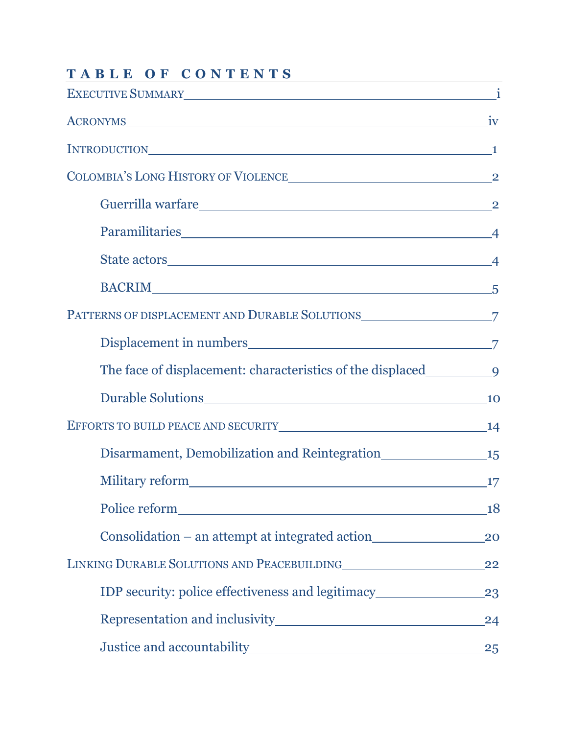| EXECUTIVE SUMMARY 1                                                               |     |
|-----------------------------------------------------------------------------------|-----|
|                                                                                   |     |
| INTRODUCTION <sub>1</sub>                                                         |     |
|                                                                                   |     |
|                                                                                   |     |
|                                                                                   |     |
|                                                                                   |     |
| BACRIM <sup>5</sup>                                                               |     |
|                                                                                   |     |
|                                                                                   |     |
|                                                                                   |     |
|                                                                                   |     |
| EFFORTS TO BUILD PEACE AND SECURITY 14                                            |     |
| Disarmament, Demobilization and Reintegration 15                                  |     |
|                                                                                   | 17  |
|                                                                                   | 18  |
| Consolidation – an attempt at integrated action_________________________________  | 20  |
|                                                                                   | 22  |
| IDP security: police effectiveness and legitimacy________________________________ | 23  |
|                                                                                   | 24  |
|                                                                                   | .25 |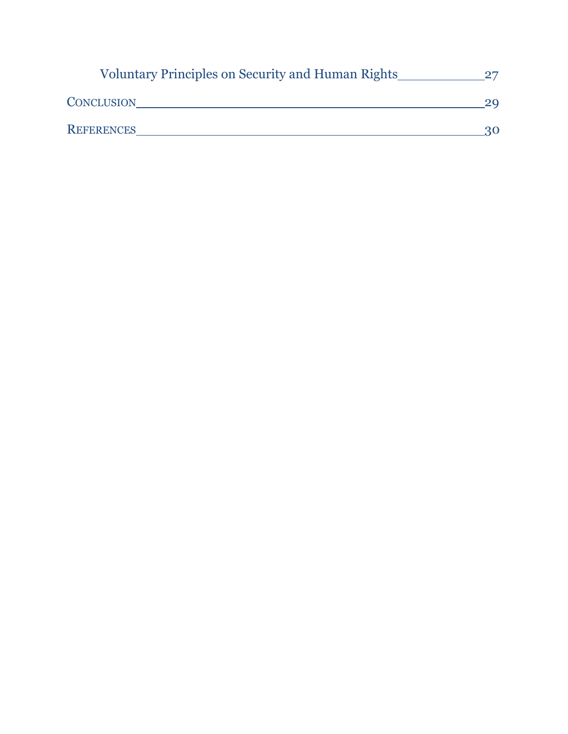| <b>Voluntary Principles on Security and Human Rights</b> |    |
|----------------------------------------------------------|----|
| <b>CONCLUSION</b>                                        |    |
| <b>REFERENCES</b>                                        | 3Ο |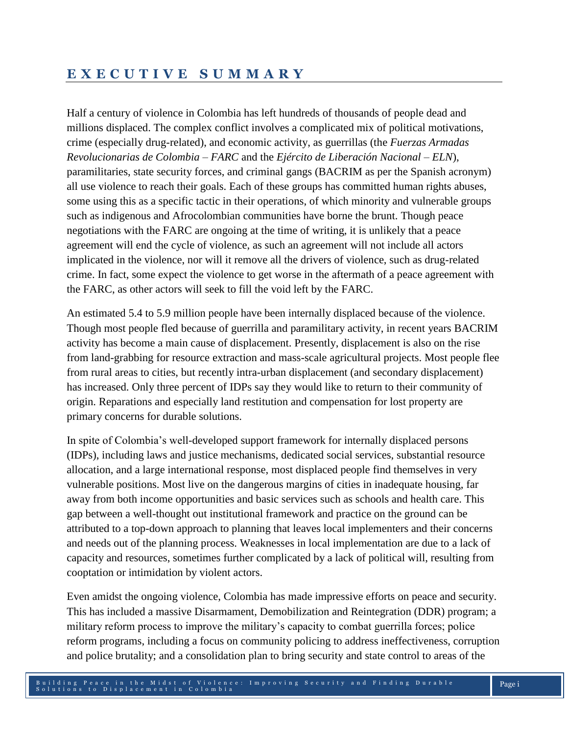## **E X E C U T I V E S U M M A R Y**

Half a century of violence in Colombia has left hundreds of thousands of people dead and millions displaced. The complex conflict involves a complicated mix of political motivations, crime (especially drug-related), and economic activity, as guerrillas (the *Fuerzas Armadas Revolucionarias de Colombia – FARC* and the *Ejército de Liberación Nacional – ELN*), paramilitaries, state security forces, and criminal gangs (BACRIM as per the Spanish acronym) all use violence to reach their goals. Each of these groups has committed human rights abuses, some using this as a specific tactic in their operations, of which minority and vulnerable groups such as indigenous and Afrocolombian communities have borne the brunt. Though peace negotiations with the FARC are ongoing at the time of writing, it is unlikely that a peace agreement will end the cycle of violence, as such an agreement will not include all actors implicated in the violence, nor will it remove all the drivers of violence, such as drug-related crime. In fact, some expect the violence to get worse in the aftermath of a peace agreement with the FARC, as other actors will seek to fill the void left by the FARC.

An estimated 5.4 to 5.9 million people have been internally displaced because of the violence. Though most people fled because of guerrilla and paramilitary activity, in recent years BACRIM activity has become a main cause of displacement. Presently, displacement is also on the rise from land-grabbing for resource extraction and mass-scale agricultural projects. Most people flee from rural areas to cities, but recently intra-urban displacement (and secondary displacement) has increased. Only three percent of IDPs say they would like to return to their community of origin. Reparations and especially land restitution and compensation for lost property are primary concerns for durable solutions.

In spite of Colombia's well-developed support framework for internally displaced persons (IDPs), including laws and justice mechanisms, dedicated social services, substantial resource allocation, and a large international response, most displaced people find themselves in very vulnerable positions. Most live on the dangerous margins of cities in inadequate housing, far away from both income opportunities and basic services such as schools and health care. This gap between a well-thought out institutional framework and practice on the ground can be attributed to a top-down approach to planning that leaves local implementers and their concerns and needs out of the planning process. Weaknesses in local implementation are due to a lack of capacity and resources, sometimes further complicated by a lack of political will, resulting from cooptation or intimidation by violent actors.

Even amidst the ongoing violence, Colombia has made impressive efforts on peace and security. This has included a massive Disarmament, Demobilization and Reintegration (DDR) program; a military reform process to improve the military's capacity to combat guerrilla forces; police reform programs, including a focus on community policing to address ineffectiveness, corruption and police brutality; and a consolidation plan to bring security and state control to areas of the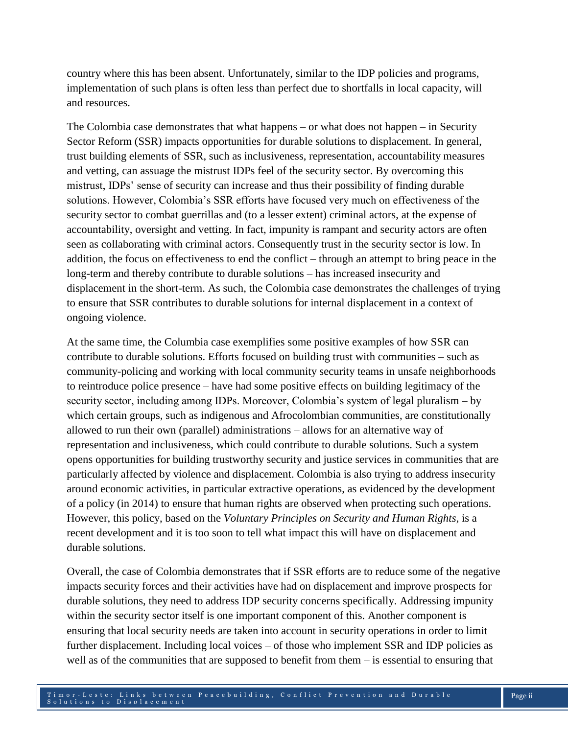country where this has been absent. Unfortunately, similar to the IDP policies and programs, implementation of such plans is often less than perfect due to shortfalls in local capacity, will and resources.

The Colombia case demonstrates that what happens – or what does not happen – in Security Sector Reform (SSR) impacts opportunities for durable solutions to displacement. In general, trust building elements of SSR, such as inclusiveness, representation, accountability measures and vetting, can assuage the mistrust IDPs feel of the security sector. By overcoming this mistrust, IDPs' sense of security can increase and thus their possibility of finding durable solutions. However, Colombia's SSR efforts have focused very much on effectiveness of the security sector to combat guerrillas and (to a lesser extent) criminal actors, at the expense of accountability, oversight and vetting. In fact, impunity is rampant and security actors are often seen as collaborating with criminal actors. Consequently trust in the security sector is low. In addition, the focus on effectiveness to end the conflict – through an attempt to bring peace in the long-term and thereby contribute to durable solutions – has increased insecurity and displacement in the short-term. As such, the Colombia case demonstrates the challenges of trying to ensure that SSR contributes to durable solutions for internal displacement in a context of ongoing violence.

At the same time, the Columbia case exemplifies some positive examples of how SSR can contribute to durable solutions. Efforts focused on building trust with communities – such as community-policing and working with local community security teams in unsafe neighborhoods to reintroduce police presence – have had some positive effects on building legitimacy of the security sector, including among IDPs. Moreover, Colombia's system of legal pluralism – by which certain groups, such as indigenous and Afrocolombian communities, are constitutionally allowed to run their own (parallel) administrations – allows for an alternative way of representation and inclusiveness, which could contribute to durable solutions. Such a system opens opportunities for building trustworthy security and justice services in communities that are particularly affected by violence and displacement. Colombia is also trying to address insecurity around economic activities, in particular extractive operations, as evidenced by the development of a policy (in 2014) to ensure that human rights are observed when protecting such operations. However, this policy, based on the *Voluntary Principles on Security and Human Rights*, is a recent development and it is too soon to tell what impact this will have on displacement and durable solutions.

Overall, the case of Colombia demonstrates that if SSR efforts are to reduce some of the negative impacts security forces and their activities have had on displacement and improve prospects for durable solutions, they need to address IDP security concerns specifically. Addressing impunity within the security sector itself is one important component of this. Another component is ensuring that local security needs are taken into account in security operations in order to limit further displacement. Including local voices – of those who implement SSR and IDP policies as well as of the communities that are supposed to benefit from them – is essential to ensuring that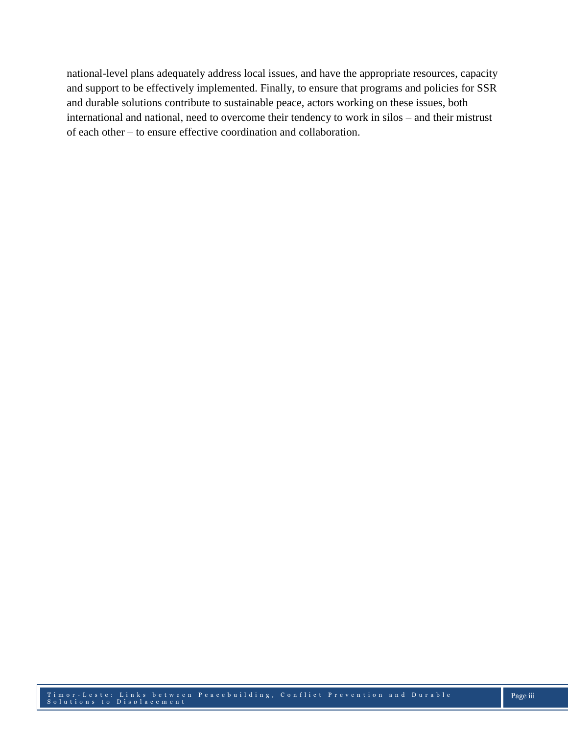national-level plans adequately address local issues, and have the appropriate resources, capacity and support to be effectively implemented. Finally, to ensure that programs and policies for SSR and durable solutions contribute to sustainable peace, actors working on these issues, both international and national, need to overcome their tendency to work in silos – and their mistrust of each other – to ensure effective coordination and collaboration.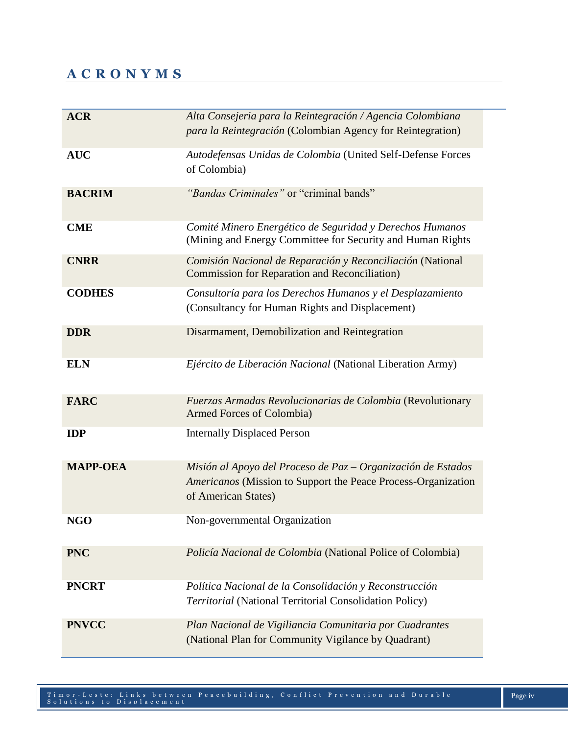## **A C R O N Y M S**

| <b>ACR</b>      | Alta Consejeria para la Reintegración / Agencia Colombiana<br>para la Reintegración (Colombian Agency for Reintegration)                               |
|-----------------|--------------------------------------------------------------------------------------------------------------------------------------------------------|
| <b>AUC</b>      | Autodefensas Unidas de Colombia (United Self-Defense Forces<br>of Colombia)                                                                            |
| <b>BACRIM</b>   | "Bandas Criminales" or "criminal bands"                                                                                                                |
| <b>CME</b>      | Comité Minero Energético de Seguridad y Derechos Humanos<br>(Mining and Energy Committee for Security and Human Rights)                                |
| <b>CNRR</b>     | Comisión Nacional de Reparación y Reconciliación (National<br><b>Commission for Reparation and Reconciliation</b> )                                    |
| <b>CODHES</b>   | Consultoría para los Derechos Humanos y el Desplazamiento<br>(Consultancy for Human Rights and Displacement)                                           |
| <b>DDR</b>      | Disarmament, Demobilization and Reintegration                                                                                                          |
| <b>ELN</b>      | Ejército de Liberación Nacional (National Liberation Army)                                                                                             |
| <b>FARC</b>     | Fuerzas Armadas Revolucionarias de Colombia (Revolutionary<br>Armed Forces of Colombia)                                                                |
| <b>IDP</b>      | <b>Internally Displaced Person</b>                                                                                                                     |
| <b>MAPP-OEA</b> | Misión al Apoyo del Proceso de Paz $-$ Organización de Estados<br>Americanos (Mission to Support the Peace Process-Organization<br>of American States) |
| NGO             | Non-governmental Organization                                                                                                                          |
| <b>PNC</b>      | Policía Nacional de Colombia (National Police of Colombia)                                                                                             |
| <b>PNCRT</b>    | Política Nacional de la Consolidación y Reconstrucción<br>Territorial (National Territorial Consolidation Policy)                                      |
| <b>PNVCC</b>    | Plan Nacional de Vigiliancia Comunitaria por Cuadrantes<br>(National Plan for Community Vigilance by Quadrant)                                         |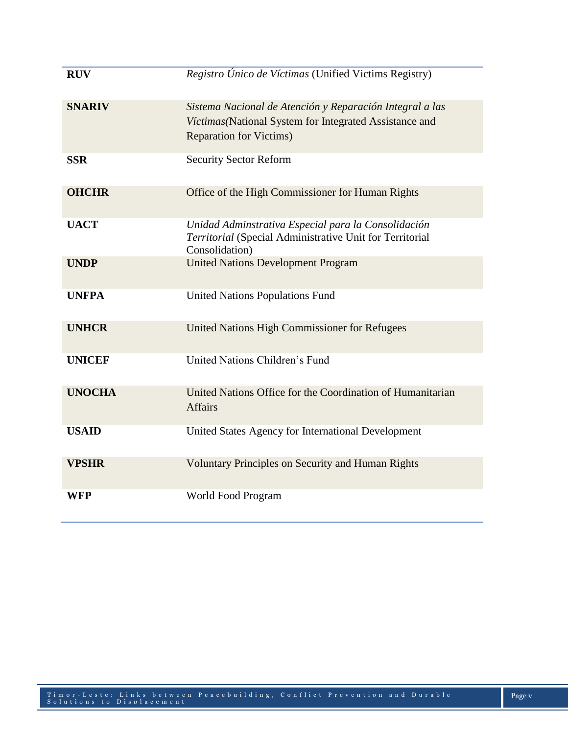| <b>RUV</b>    | Registro Único de Víctimas (Unified Victims Registry)                                                                                                 |
|---------------|-------------------------------------------------------------------------------------------------------------------------------------------------------|
| <b>SNARIV</b> | Sistema Nacional de Atención y Reparación Integral a las<br>Víctimas (National System for Integrated Assistance and<br><b>Reparation for Victims)</b> |
| <b>SSR</b>    | <b>Security Sector Reform</b>                                                                                                                         |
| <b>OHCHR</b>  | Office of the High Commissioner for Human Rights                                                                                                      |
| <b>UACT</b>   | Unidad Adminstrativa Especial para la Consolidación<br>Territorial (Special Administrative Unit for Territorial<br>Consolidation)                     |
| <b>UNDP</b>   | <b>United Nations Development Program</b>                                                                                                             |
| <b>UNFPA</b>  | <b>United Nations Populations Fund</b>                                                                                                                |
| <b>UNHCR</b>  | United Nations High Commissioner for Refugees                                                                                                         |
| <b>UNICEF</b> | United Nations Children's Fund                                                                                                                        |
| <b>UNOCHA</b> | United Nations Office for the Coordination of Humanitarian<br><b>Affairs</b>                                                                          |
| <b>USAID</b>  | United States Agency for International Development                                                                                                    |
| <b>VPSHR</b>  | <b>Voluntary Principles on Security and Human Rights</b>                                                                                              |
| <b>WFP</b>    | World Food Program                                                                                                                                    |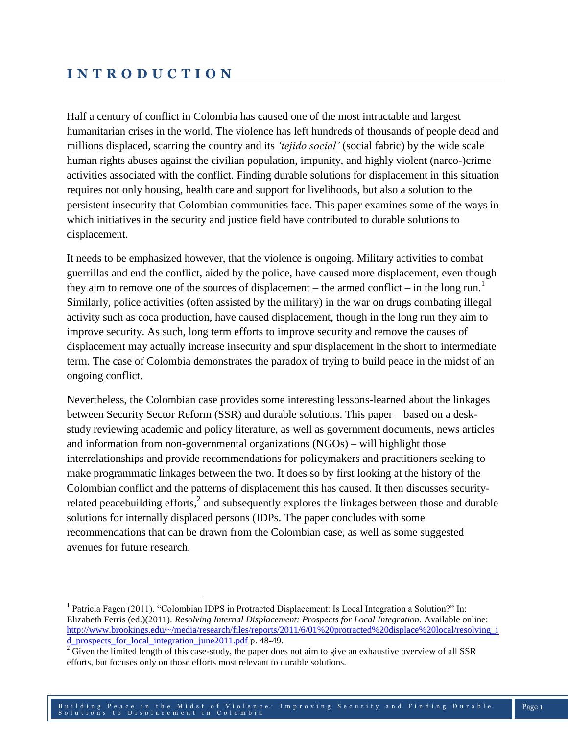## **I N T R O D U C T I O N**

l

Half a century of conflict in Colombia has caused one of the most intractable and largest humanitarian crises in the world. The violence has left hundreds of thousands of people dead and millions displaced, scarring the country and its *'tejido social'* (social fabric) by the wide scale human rights abuses against the civilian population, impunity, and highly violent (narco-)crime activities associated with the conflict. Finding durable solutions for displacement in this situation requires not only housing, health care and support for livelihoods, but also a solution to the persistent insecurity that Colombian communities face. This paper examines some of the ways in which initiatives in the security and justice field have contributed to durable solutions to displacement.

It needs to be emphasized however, that the violence is ongoing. Military activities to combat guerrillas and end the conflict, aided by the police, have caused more displacement, even though they aim to remove one of the sources of displacement – the armed conflict – in the long run.<sup>1</sup> Similarly, police activities (often assisted by the military) in the war on drugs combating illegal activity such as coca production, have caused displacement, though in the long run they aim to improve security. As such, long term efforts to improve security and remove the causes of displacement may actually increase insecurity and spur displacement in the short to intermediate term. The case of Colombia demonstrates the paradox of trying to build peace in the midst of an ongoing conflict.

Nevertheless, the Colombian case provides some interesting lessons-learned about the linkages between Security Sector Reform (SSR) and durable solutions. This paper – based on a deskstudy reviewing academic and policy literature, as well as government documents, news articles and information from non-governmental organizations (NGOs) – will highlight those interrelationships and provide recommendations for policymakers and practitioners seeking to make programmatic linkages between the two. It does so by first looking at the history of the Colombian conflict and the patterns of displacement this has caused. It then discusses securityrelated peacebuilding efforts,<sup>2</sup> and subsequently explores the linkages between those and durable solutions for internally displaced persons (IDPs. The paper concludes with some recommendations that can be drawn from the Colombian case, as well as some suggested avenues for future research.

<sup>&</sup>lt;sup>1</sup> Patricia Fagen (2011). "Colombian IDPS in Protracted Displacement: Is Local Integration a Solution?" In: Elizabeth Ferris (ed.)(2011). *Resolving Internal Displacement: Prospects for Local Integration.* Available online: [http://www.brookings.edu/~/media/research/files/reports/2011/6/01%20protracted%20displace%20local/resolving\\_i](http://www.brookings.edu/~/media/research/files/reports/2011/6/01%20protracted%20displace%20local/resolving_id_prospects_for_local_integration_june2011.pdf) [d\\_prospects\\_for\\_local\\_integration\\_june2011.pdf](http://www.brookings.edu/~/media/research/files/reports/2011/6/01%20protracted%20displace%20local/resolving_id_prospects_for_local_integration_june2011.pdf) p. 48-49.

 $2\overline{}$  Given the limited length of this case-study, the paper does not aim to give an exhaustive overview of all SSR efforts, but focuses only on those efforts most relevant to durable solutions.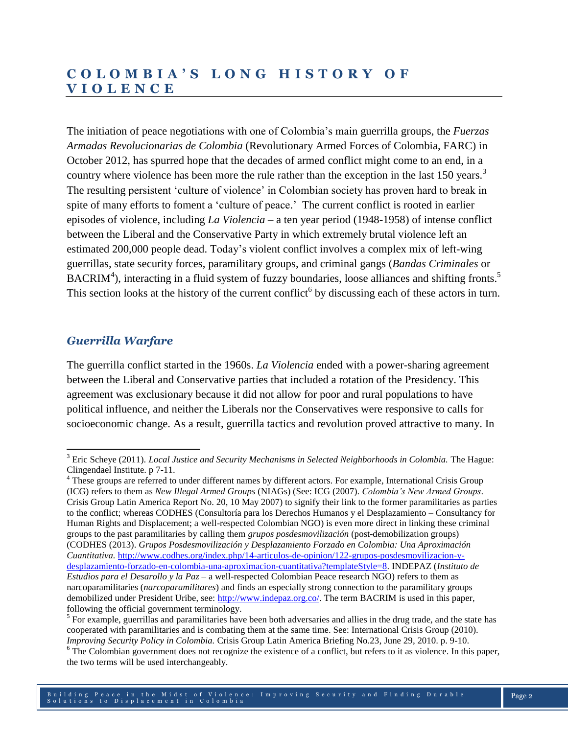## **C O L O M B I A ' S L O N G H I S T O R Y O F V I O L E N C E**

The initiation of peace negotiations with one of Colombia's main guerrilla groups, the *Fuerzas Armadas Revolucionarias de Colombia* (Revolutionary Armed Forces of Colombia, FARC) in October 2012, has spurred hope that the decades of armed conflict might come to an end, in a country where violence has been more the rule rather than the exception in the last 150 years.<sup>3</sup> The resulting persistent 'culture of violence' in Colombian society has proven hard to break in spite of many efforts to foment a 'culture of peace.' The current conflict is rooted in earlier episodes of violence, including *La Violencia* – a ten year period (1948-1958) of intense conflict between the Liberal and the Conservative Party in which extremely brutal violence left an estimated 200,000 people dead. Today's violent conflict involves a complex mix of left-wing guerrillas, state security forces, paramilitary groups, and criminal gangs (*Bandas Criminales* or BACRIM<sup>4</sup>), interacting in a fluid system of fuzzy boundaries, loose alliances and shifting fronts.<sup>5</sup> This section looks at the history of the current conflict<sup>6</sup> by discussing each of these actors in turn.

## *Guerrilla Warfare*

 $\overline{a}$ 

The guerrilla conflict started in the 1960s. *La Violencia* ended with a power-sharing agreement between the Liberal and Conservative parties that included a rotation of the Presidency. This agreement was exclusionary because it did not allow for poor and rural populations to have political influence, and neither the Liberals nor the Conservatives were responsive to calls for socioeconomic change. As a result, guerrilla tactics and revolution proved attractive to many. In

<sup>4</sup> These groups are referred to under different names by different actors. For example, International Crisis Group (ICG) refers to them as *New Illegal Armed Groups* (NIAGs) (See: ICG (2007). *Colombia's New Armed Groups*. Crisis Group Latin America Report No. 20, 10 May 2007) to signify their link to the former paramilitaries as parties to the conflict; whereas CODHES (Consultoría para los Derechos Humanos y el Desplazamiento – Consultancy for Human Rights and Displacement; a well-respected Colombian NGO) is even more direct in linking these criminal groups to the past paramilitaries by calling them *grupos posdesmovilización* (post-demobilization groups) (CODHES (2013). *Grupos Posdesmovilización y Desplazamiento Forzado en Colombia: Una Aproximación Cuantitativa.* [http://www.codhes.org/index.php/14-articulos-de-opinion/122-grupos-posdesmovilizacion-y](http://www.codhes.org/index.php/14-articulos-de-opinion/122-grupos-posdesmovilizacion-y-desplazamiento-forzado-en-colombia-una-aproximacion-cuantitativa?templateStyle=8)[desplazamiento-forzado-en-colombia-una-aproximacion-cuantitativa?templateStyle=8.](http://www.codhes.org/index.php/14-articulos-de-opinion/122-grupos-posdesmovilizacion-y-desplazamiento-forzado-en-colombia-una-aproximacion-cuantitativa?templateStyle=8) INDEPAZ (*Instituto de Estudios para el Desarollo y la Paz* – a well-respected Colombian Peace research NGO) refers to them as narcoparamilitaries (*narcoparamilitares*) and finds an especially strong connection to the paramilitary groups demobilized under President Uribe, see[: http://www.indepaz.org.co/.](http://www.indepaz.org.co/) The term BACRIM is used in this paper, following the official government terminology.

<sup>3</sup> Eric Scheye (2011). *Local Justice and Security Mechanisms in Selected Neighborhoods in Colombia.* The Hague: Clingendael Institute. p 7-11.

<sup>&</sup>lt;sup>5</sup> For example, guerrillas and paramilitaries have been both adversaries and allies in the drug trade, and the state has cooperated with paramilitaries and is combating them at the same time. See: International Crisis Group (2010). *Improving Security Policy in Colombia.* Crisis Group Latin America Briefing No.23, June 29, 2010. p. 9-10.

<sup>&</sup>lt;sup>6</sup> The Colombian government does not recognize the existence of a conflict, but refers to it as violence. In this paper, the two terms will be used interchangeably.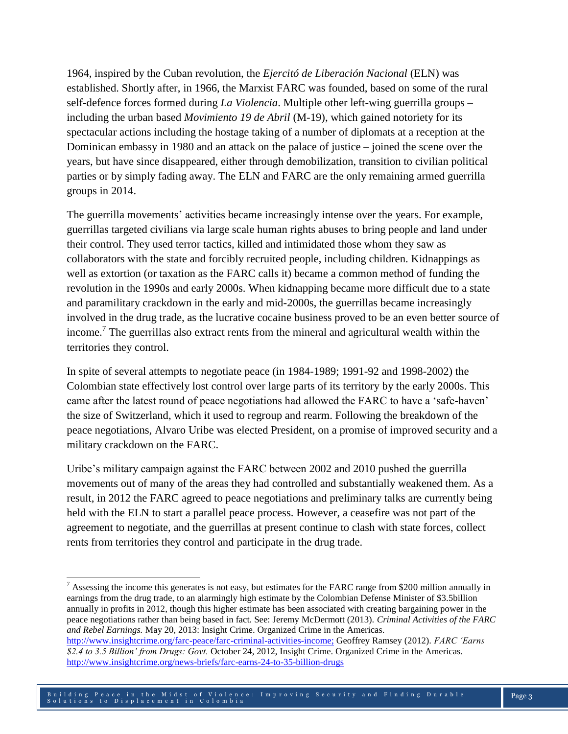1964, inspired by the Cuban revolution, the *Ejercitó de Liberación Nacional* (ELN) was established. Shortly after, in 1966, the Marxist FARC was founded, based on some of the rural self-defence forces formed during *La Violencia*. Multiple other left-wing guerrilla groups – including the urban based *Movimiento 19 de Abril* (M-19), which gained notoriety for its spectacular actions including the hostage taking of a number of diplomats at a reception at the Dominican embassy in 1980 and an attack on the palace of justice – joined the scene over the years, but have since disappeared, either through demobilization, transition to civilian political parties or by simply fading away. The ELN and FARC are the only remaining armed guerrilla groups in 2014.

The guerrilla movements' activities became increasingly intense over the years. For example, guerrillas targeted civilians via large scale human rights abuses to bring people and land under their control. They used terror tactics, killed and intimidated those whom they saw as collaborators with the state and forcibly recruited people, including children. Kidnappings as well as extortion (or taxation as the FARC calls it) became a common method of funding the revolution in the 1990s and early 2000s. When kidnapping became more difficult due to a state and paramilitary crackdown in the early and mid-2000s, the guerrillas became increasingly involved in the drug trade, as the lucrative cocaine business proved to be an even better source of income.<sup>7</sup> The guerrillas also extract rents from the mineral and agricultural wealth within the territories they control.

In spite of several attempts to negotiate peace (in 1984-1989; 1991-92 and 1998-2002) the Colombian state effectively lost control over large parts of its territory by the early 2000s. This came after the latest round of peace negotiations had allowed the FARC to have a 'safe-haven' the size of Switzerland, which it used to regroup and rearm. Following the breakdown of the peace negotiations, Alvaro Uribe was elected President, on a promise of improved security and a military crackdown on the FARC.

Uribe's military campaign against the FARC between 2002 and 2010 pushed the guerrilla movements out of many of the areas they had controlled and substantially weakened them. As a result, in 2012 the FARC agreed to peace negotiations and preliminary talks are currently being held with the ELN to start a parallel peace process. However, a ceasefire was not part of the agreement to negotiate, and the guerrillas at present continue to clash with state forces, collect rents from territories they control and participate in the drug trade.

 $\overline{a}$ 

<sup>&</sup>lt;sup>7</sup> Assessing the income this generates is not easy, but estimates for the FARC range from \$200 million annually in earnings from the drug trade, to an alarmingly high estimate by the Colombian Defense Minister of \$3.5billion annually in profits in 2012, though this higher estimate has been associated with creating bargaining power in the peace negotiations rather than being based in fact. See: Jeremy McDermott (2013). *Criminal Activities of the FARC and Rebel Earnings.* May 20, 2013: Insight Crime. Organized Crime in the Americas.

[http://www.insightcrime.org/farc-peace/farc-criminal-activities-income;](http://www.insightcrime.org/farc-peace/farc-criminal-activities-income) Geoffrey Ramsey (2012). *FARC 'Earns \$2.4 to 3.5 Billion' from Drugs: Govt.* October 24, 2012, Insight Crime. Organized Crime in the Americas. <http://www.insightcrime.org/news-briefs/farc-earns-24-to-35-billion-drugs>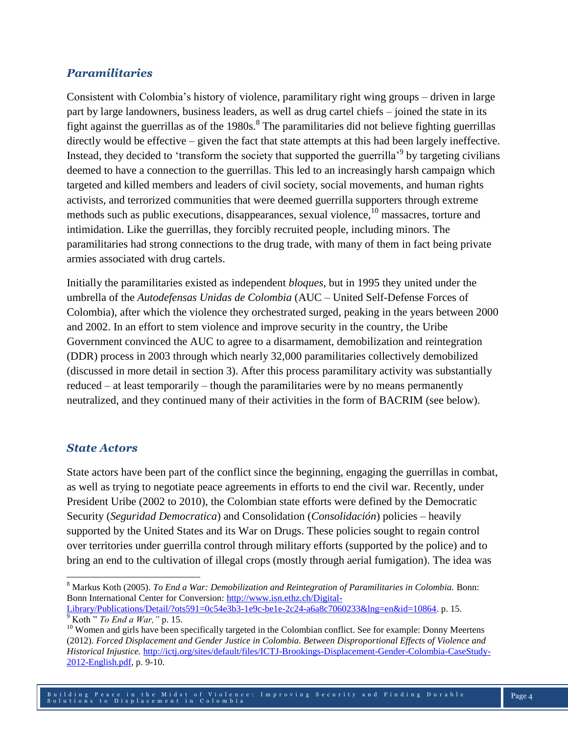#### *Paramilitaries*

Consistent with Colombia's history of violence, paramilitary right wing groups – driven in large part by large landowners, business leaders, as well as drug cartel chiefs – joined the state in its fight against the guerrillas as of the 1980s.<sup>8</sup> The paramilitaries did not believe fighting guerrillas directly would be effective – given the fact that state attempts at this had been largely ineffective. Instead, they decided to 'transform the society that supported the guerrilla<sup>'9</sup> by targeting civilians deemed to have a connection to the guerrillas. This led to an increasingly harsh campaign which targeted and killed members and leaders of civil society, social movements, and human rights activists, and terrorized communities that were deemed guerrilla supporters through extreme methods such as public executions, disappearances, sexual violence,<sup>10</sup> massacres, torture and intimidation. Like the guerrillas, they forcibly recruited people, including minors. The paramilitaries had strong connections to the drug trade, with many of them in fact being private armies associated with drug cartels.

Initially the paramilitaries existed as independent *bloques*, but in 1995 they united under the umbrella of the *Autodefensas Unidas de Colombia* (AUC – United Self-Defense Forces of Colombia), after which the violence they orchestrated surged, peaking in the years between 2000 and 2002. In an effort to stem violence and improve security in the country, the Uribe Government convinced the AUC to agree to a disarmament, demobilization and reintegration (DDR) process in 2003 through which nearly 32,000 paramilitaries collectively demobilized (discussed in more detail in section 3). After this process paramilitary activity was substantially reduced – at least temporarily – though the paramilitaries were by no means permanently neutralized, and they continued many of their activities in the form of BACRIM (see below).

#### *State Actors*

State actors have been part of the conflict since the beginning, engaging the guerrillas in combat, as well as trying to negotiate peace agreements in efforts to end the civil war. Recently, under President Uribe (2002 to 2010), the Colombian state efforts were defined by the Democratic Security (*Seguridad Democratica*) and Consolidation (*Consolidación*) policies – heavily supported by the United States and its War on Drugs. These policies sought to regain control over territories under guerrilla control through military efforts (supported by the police) and to bring an end to the cultivation of illegal crops (mostly through aerial fumigation). The idea was

 $\overline{a}$ <sup>8</sup> Markus Koth (2005). *To End a War: Demobilization and Reintegration of Paramilitaries in Colombia.* Bonn: Bonn International Center for Conversion: [http://www.isn.ethz.ch/Digital-](http://www.isn.ethz.ch/Digital-Library/Publications/Detail/?ots591=0c54e3b3-1e9c-be1e-2c24-a6a8c7060233&lng=en&id=10864)

[Library/Publications/Detail/?ots591=0c54e3b3-1e9c-be1e-2c24-a6a8c7060233&lng=en&id=10864.](http://www.isn.ethz.ch/Digital-Library/Publications/Detail/?ots591=0c54e3b3-1e9c-be1e-2c24-a6a8c7060233&lng=en&id=10864) p. 15. <sup>9</sup> Koth " *To End a War,"* p. 15.

<sup>&</sup>lt;sup>10</sup> Women and girls have been specifically targeted in the Colombian conflict. See for example: Donny Meertens (2012). *Forced Displacement and Gender Justice in Colombia. Between Disproportional Effects of Violence and Historical Injustice.* [http://ictj.org/sites/default/files/ICTJ-Brookings-Displacement-Gender-Colombia-CaseStudy-](http://ictj.org/sites/default/files/ICTJ-Brookings-Displacement-Gender-Colombia-CaseStudy-2012-English.pdf)[2012-English.pdf,](http://ictj.org/sites/default/files/ICTJ-Brookings-Displacement-Gender-Colombia-CaseStudy-2012-English.pdf) p. 9-10.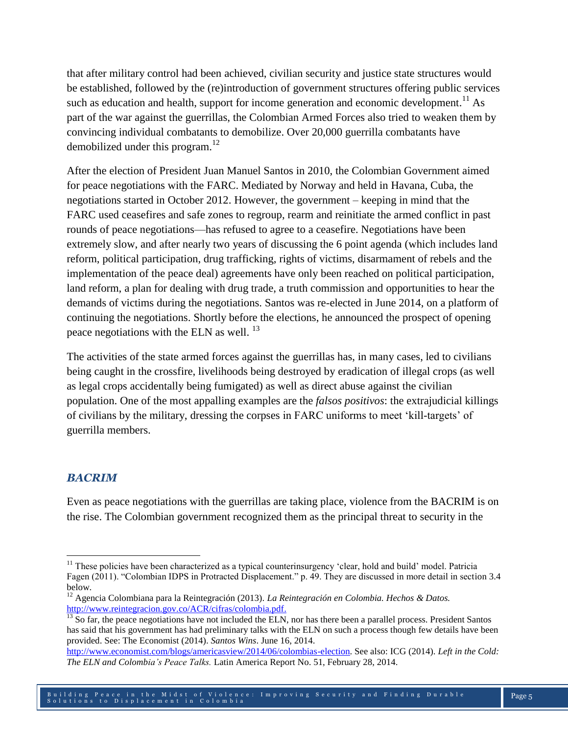that after military control had been achieved, civilian security and justice state structures would be established, followed by the (re)introduction of government structures offering public services such as education and health, support for income generation and economic development.<sup>11</sup> As part of the war against the guerrillas, the Colombian Armed Forces also tried to weaken them by convincing individual combatants to demobilize. Over 20,000 guerrilla combatants have demobilized under this program.<sup>12</sup>

After the election of President Juan Manuel Santos in 2010, the Colombian Government aimed for peace negotiations with the FARC. Mediated by Norway and held in Havana, Cuba, the negotiations started in October 2012. However, the government – keeping in mind that the FARC used ceasefires and safe zones to regroup, rearm and reinitiate the armed conflict in past rounds of peace negotiations—has refused to agree to a ceasefire. Negotiations have been extremely slow, and after nearly two years of discussing the 6 point agenda (which includes land reform, political participation, drug trafficking, rights of victims, disarmament of rebels and the implementation of the peace deal) agreements have only been reached on political participation, land reform, a plan for dealing with drug trade, a truth commission and opportunities to hear the demands of victims during the negotiations. Santos was re-elected in June 2014, on a platform of continuing the negotiations. Shortly before the elections, he announced the prospect of opening peace negotiations with the ELN as well.<sup>13</sup>

The activities of the state armed forces against the guerrillas has, in many cases, led to civilians being caught in the crossfire, livelihoods being destroyed by eradication of illegal crops (as well as legal crops accidentally being fumigated) as well as direct abuse against the civilian population. One of the most appalling examples are the *falsos positivos*: the extrajudicial killings of civilians by the military, dressing the corpses in FARC uniforms to meet 'kill-targets' of guerrilla members.

#### *BACRIM*

 $\overline{\phantom{a}}$ 

Even as peace negotiations with the guerrillas are taking place, violence from the BACRIM is on the rise. The Colombian government recognized them as the principal threat to security in the

 $11$  These policies have been characterized as a typical counterinsurgency 'clear, hold and build' model. Patricia Fagen (2011). "Colombian IDPS in Protracted Displacement." p. 49. They are discussed in more detail in section 3.4 below.

<sup>12</sup> Agencia Colombiana para la Reintegración (2013). *La Reintegración en Colombia. Hechos & Datos.*  [http://www.reintegracion.gov.co/ACR/cifras/colombia.pdf.](http://www.reintegracion.gov.co/ACR/cifras/colombia.pdf)

 $\frac{13}{13}$  So far, the peace negotiations have not included the ELN, nor has there been a parallel process. President Santos has said that his government has had preliminary talks with the ELN on such a process though few details have been provided. See: The Economist (2014). *Santos Wins*. June 16, 2014.

[http://www.economist.com/blogs/americasview/2014/06/colombias-election.](http://www.economist.com/blogs/americasview/2014/06/colombias-election) See also: ICG (2014). *Left in the Cold: The ELN and Colombia's Peace Talks.* Latin America Report No. 51, February 28, 2014.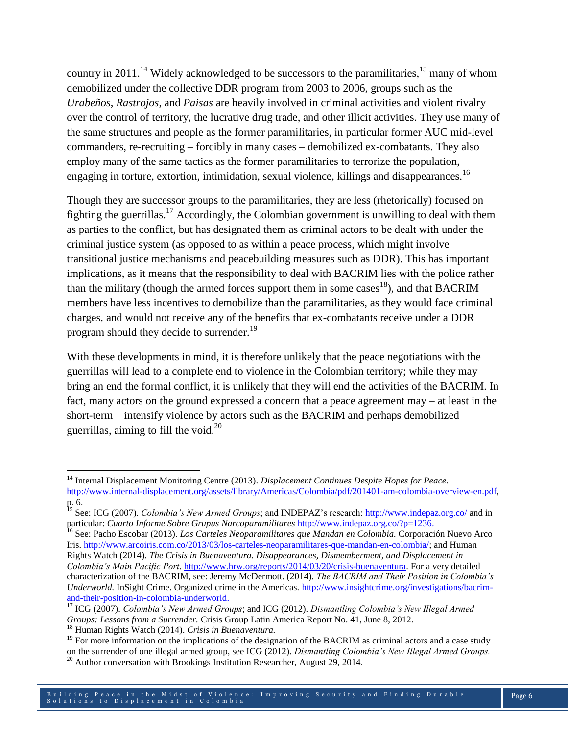country in 2011.<sup>14</sup> Widely acknowledged to be successors to the paramilitaries,  $15$  many of whom demobilized under the collective DDR program from 2003 to 2006, groups such as the *Urabeños*, *Rastrojos*, and *Paisas* are heavily involved in criminal activities and violent rivalry over the control of territory, the lucrative drug trade, and other illicit activities. They use many of the same structures and people as the former paramilitaries, in particular former AUC mid-level commanders, re-recruiting – forcibly in many cases – demobilized ex-combatants. They also employ many of the same tactics as the former paramilitaries to terrorize the population, engaging in torture, extortion, intimidation, sexual violence, killings and disappearances.<sup>16</sup>

Though they are successor groups to the paramilitaries, they are less (rhetorically) focused on fighting the guerrillas.<sup>17</sup> Accordingly, the Colombian government is unwilling to deal with them as parties to the conflict, but has designated them as criminal actors to be dealt with under the criminal justice system (as opposed to as within a peace process, which might involve transitional justice mechanisms and peacebuilding measures such as DDR). This has important implications, as it means that the responsibility to deal with BACRIM lies with the police rather than the military (though the armed forces support them in some cases<sup>18</sup>), and that BACRIM members have less incentives to demobilize than the paramilitaries, as they would face criminal charges, and would not receive any of the benefits that ex-combatants receive under a DDR program should they decide to surrender.<sup>19</sup>

With these developments in mind, it is therefore unlikely that the peace negotiations with the guerrillas will lead to a complete end to violence in the Colombian territory; while they may bring an end the formal conflict, it is unlikely that they will end the activities of the BACRIM. In fact, many actors on the ground expressed a concern that a peace agreement may – at least in the short-term – intensify violence by actors such as the BACRIM and perhaps demobilized guerrillas, aiming to fill the void. $^{20}$ 

 $\overline{a}$ 

<sup>14</sup> Internal Displacement Monitoring Centre (2013). *Displacement Continues Despite Hopes for Peace.* [http://www.internal-displacement.org/assets/library/Americas/Colombia/pdf/201401-am-colombia-overview-en.pdf,](http://www.internal-displacement.org/assets/library/Americas/Colombia/pdf/201401-am-colombia-overview-en.pdf) p. 6.

<sup>&</sup>lt;sup>15</sup> See: ICG (2007). *Colombia's New Armed Groups*; and INDEPAZ's research:<http://www.indepaz.org.co/> and in particular: *Cuarto Informe Sobre Grupus Narcoparamilitares* [http://www.indepaz.org.co/?p=1236.](http://www.indepaz.org.co/?p=1236)

<sup>16</sup> See: Pacho Escobar (2013). *Los Carteles Neoparamilitares que Mandan en Colombia.* Corporación Nuevo Arco Iris. [http://www.arcoiris.com.co/2013/03/los-carteles-neoparamilitares-que-mandan-en-colombia/;](http://www.arcoiris.com.co/2013/03/los-carteles-neoparamilitares-que-mandan-en-colombia/) and Human Rights Watch (2014). *The Crisis in Buenaventura. Disappearances, Dismemberment, and Displacement in Colombia's Main Pacific Port*. [http://www.hrw.org/reports/2014/03/20/crisis-buenaventura.](http://www.hrw.org/reports/2014/03/20/crisis-buenaventura) For a very detailed characterization of the BACRIM, see: Jeremy McDermott. (2014). *The BACRIM and Their Position in Colombia's Underworld.* InSight Crime. Organized crime in the Americas. [http://www.insightcrime.org/investigations/bacrim](http://www.insightcrime.org/investigations/bacrim-and-their-position-in-colombia-underworld)[and-their-position-in-colombia-underworld.](http://www.insightcrime.org/investigations/bacrim-and-their-position-in-colombia-underworld)

<sup>17</sup> ICG (2007). *Colombia's New Armed Groups*; and ICG (2012). *Dismantling Colombia's New Illegal Armed Groups: Lessons from a Surrender.* Crisis Group Latin America Report No. 41, June 8, 2012.

<sup>18</sup> Human Rights Watch (2014). *Crisis in Buenaventura.* 

 $19$  For more information on the implications of the designation of the BACRIM as criminal actors and a case study on the surrender of one illegal armed group, see ICG (2012). *Dismantling Colombia's New Illegal Armed Groups.*

<sup>&</sup>lt;sup>20</sup> Author conversation with Brookings Institution Researcher, August 29, 2014.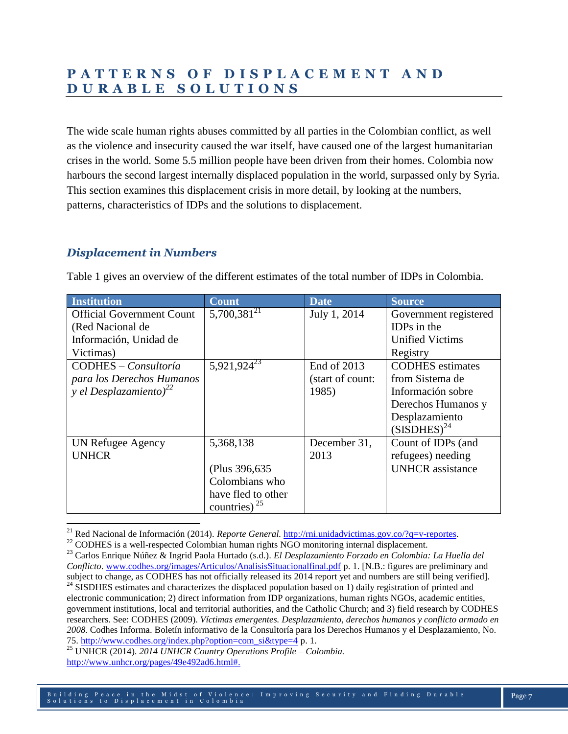## **P A T T E R N S O F D I S P L A C E M E N T A N D D U R A B L E S O L U T I O N S**

The wide scale human rights abuses committed by all parties in the Colombian conflict, as well as the violence and insecurity caused the war itself, have caused one of the largest humanitarian crises in the world. Some 5.5 million people have been driven from their homes. Colombia now harbours the second largest internally displaced population in the world, surpassed only by Syria. This section examines this displacement crisis in more detail, by looking at the numbers, patterns, characteristics of IDPs and the solutions to displacement.

### *Displacement in Numbers*

 $\overline{\phantom{a}}$ 

| Institution                        | <b>Count</b>            | <b>Date</b>      | <b>Source</b>           |
|------------------------------------|-------------------------|------------------|-------------------------|
| <b>Official Government Count</b>   | $5,700,381^{21}$        | July 1, 2014     | Government registered   |
| (Red Nacional de                   |                         |                  | <b>IDPs</b> in the      |
| Información, Unidad de             |                         |                  | <b>Unified Victims</b>  |
| Victimas)                          |                         |                  | Registry                |
| CODHES – Consultoría               | 5,921,924 <sup>23</sup> | End of 2013      | <b>CODHES</b> estimates |
| para los Derechos Humanos          |                         | (start of count: | from Sistema de         |
| y el Desplazamiento) <sup>22</sup> |                         | 1985)            | Información sobre       |
|                                    |                         |                  | Derechos Humanos y      |
|                                    |                         |                  | Desplazamiento          |
|                                    |                         |                  | $(SISDHES)^{24}$        |
| UN Refugee Agency                  | 5,368,138               | December 31,     | Count of IDPs (and      |
| <b>UNHCR</b>                       |                         | 2013             | refugees) needing       |
|                                    | (Plus 396,635)          |                  | <b>UNHCR</b> assistance |
|                                    | Colombians who          |                  |                         |
|                                    | have fled to other      |                  |                         |
|                                    | countries) $^{25}$      |                  |                         |

Table 1 gives an overview of the different estimates of the total number of IDPs in Colombia.

electronic communication; 2) direct information from IDP organizations, human rights NGOs, academic entities, government institutions, local and territorial authorities, and the Catholic Church; and 3) field research by CODHES researchers. See: CODHES (2009). *Víctimas emergentes. Desplazamiento, derechos humanos y conflicto armado en 2008.* Codhes Informa. Boletín informativo de la Consultoría para los Derechos Humanos y el Desplazamiento, No. 75. [http://www.codhes.org/index.php?option=com\\_si&type=4](http://www.codhes.org/index.php?option=com_si&type=4) p. 1.

<sup>25</sup> UNHCR (2014). *2014 UNHCR Country Operations Profile – Colombia.*  [http://www.unhcr.org/pages/49e492ad6.html#.](http://www.unhcr.org/pages/49e492ad6.html)

<sup>21</sup> Red Nacional de Información (2014). *Reporte General.* [http://rni.unidadvictimas.gov.co/?q=v-reportes.](http://rni.unidadvictimas.gov.co/?q=v-reportes)

<sup>&</sup>lt;sup>22</sup> CODHES is a well-respected Colombian human rights NGO monitoring internal displacement.

<sup>23</sup> Carlos Enrique Núñez & Ingrid Paola Hurtado (s.d.). *El Desplazamiento Forzado en Colombia: La Huella del Conflicto*. [www.codhes.org/images/Articulos/AnalisisSituacionalfinal.pdf](http://www.codhes.org/images/Articulos/AnalisisSituacionalfinal.pdf) p. 1. [N.B.: figures are preliminary and subject to change, as CODHES has not officially released its 2014 report yet and numbers are still being verified]. <sup>24</sup> SISDHES estimates and characterizes the displaced population based on 1) daily registration of printed and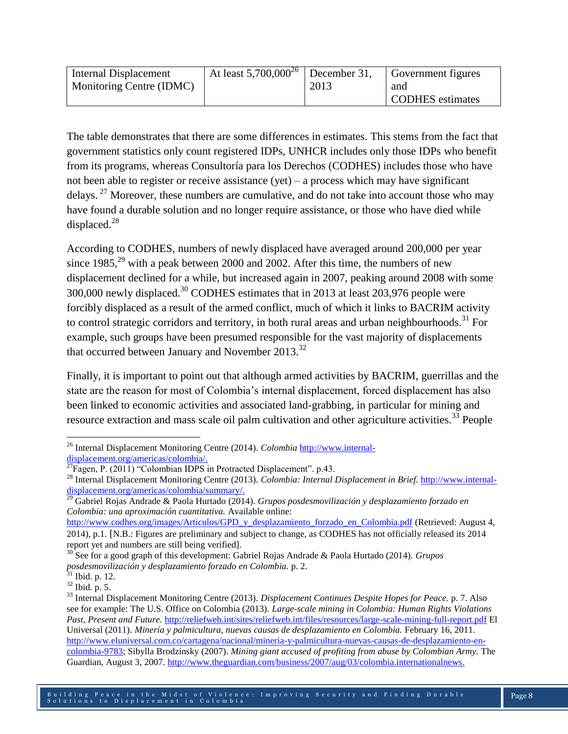| Internal Displacement    | At least $5,700,000^{26}$ December 31, |      | <b>Government</b> figures |
|--------------------------|----------------------------------------|------|---------------------------|
| Monitoring Centre (IDMC) |                                        | 2013 | and                       |
|                          |                                        |      | <b>CODHES</b> estimates   |

The table demonstrates that there are some differences in estimates. This stems from the fact that government statistics only count registered IDPs, UNHCR includes only those IDPs who benefit from its programs, whereas Consultoría para los Derechos (CODHES) includes those who have not been able to register or receive assistance (yet) – a process which may have significant delays. <sup>27</sup> Moreover, these numbers are cumulative, and do not take into account those who may have found a durable solution and no longer require assistance, or those who have died while displaced.<sup>28</sup>

According to CODHES, numbers of newly displaced have averaged around 200,000 per year since 1985,<sup>29</sup> with a peak between 2000 and 2002. After this time, the numbers of new displacement declined for a while, but increased again in 2007, peaking around 2008 with some 300,000 newly displaced.<sup>30</sup> CODHES estimates that in 2013 at least 203,976 people were forcibly displaced as a result of the armed conflict, much of which it links to BACRIM activity to control strategic corridors and territory, in both rural areas and urban neighbourhoods.<sup>31</sup> For example, such groups have been presumed responsible for the vast majority of displacements that occurred between January and November  $2013^{32}$ 

Finally, it is important to point out that although armed activities by BACRIM, guerrillas and the state are the reason for most of Colombia's internal displacement, forced displacement has also been linked to economic activities and associated land-grabbing, in particular for mining and resource extraction and mass scale oil palm cultivation and other agriculture activities.<sup>33</sup> People

[http://www.codhes.org/images/Articulos/GPD\\_y\\_desplazamiento\\_forzado\\_en\\_Colombia.pdf](http://www.codhes.org/images/Articulos/GPD_y_desplazamiento_forzado_en_Colombia.pdf) (Retrieved: August 4, 2014), p.1. [N.B.: Figures are preliminary and subject to change, as CODHES has not officially released its 2014 report yet and numbers are still being verified].

 $\overline{a}$ <sup>26</sup> Internal Displacement Monitoring Centre (2014). *Colombia* [http://www.internal](http://www.internal-displacement.org/americas/colombia/)[displacement.org/americas/colombia/.](http://www.internal-displacement.org/americas/colombia/)

 ${}^{27}$ Fagen, P. (2011) "Colombian IDPS in Protracted Displacement". p.43.

<sup>28</sup> Internal Displacement Monitoring Centre (2013). *Colombia: Internal Displacement in Brief.* [http://www.internal](http://www.internal-displacement.org/americas/colombia/summary/)[displacement.org/americas/colombia/summary/.](http://www.internal-displacement.org/americas/colombia/summary/)

<sup>29</sup> Gabriel Rojas Andrade & Paola Hurtado (2014). *Grupos posdesmovilización y desplazamiento forzado en Colombia: una aproximación cuantitativa.* Available online:

<sup>30</sup> See for a good graph of this development: Gabriel Rojas Andrade & Paola Hurtado (2014). *Grupos posdesmovilización y desplazamiento forzado en Colombia.* p. 2.

 $31$  Ibid. p. 12.

<sup>32</sup> Ibid*.* p. 5.

<sup>33</sup> Internal Displacement Monitoring Centre (2013). *Displacement Continues Despite Hopes for Peace.* p. 7. Also see for example: The U.S. Office on Colombia (2013). *Large-scale mining in Colombia: Human Rights Violations Past, Present and Future.* <http://reliefweb.int/sites/reliefweb.int/files/resources/large-scale-mining-full-report.pdf> El Universal (2011). *Minería y palmicultura, nuevas causas de desplazamiento en Colombia.* February 16, 2011. [http://www.eluniversal.com.co/cartagena/nacional/mineria-y-palmicultura-nuevas-causas-de-desplazamiento-en](http://www.eluniversal.com.co/cartagena/nacional/mineria-y-palmicultura-nuevas-causas-de-desplazamiento-en-colombia-9783)[colombia-9783;](http://www.eluniversal.com.co/cartagena/nacional/mineria-y-palmicultura-nuevas-causas-de-desplazamiento-en-colombia-9783) Sibylla Brodzinsky (2007). *Mining giant accused of profiting from abuse by Colombian Army.* The Guardian, August 3, 2007[. http://www.theguardian.com/business/2007/aug/03/colombia.internationalnews.](http://www.theguardian.com/business/2007/aug/03/colombia.internationalnews)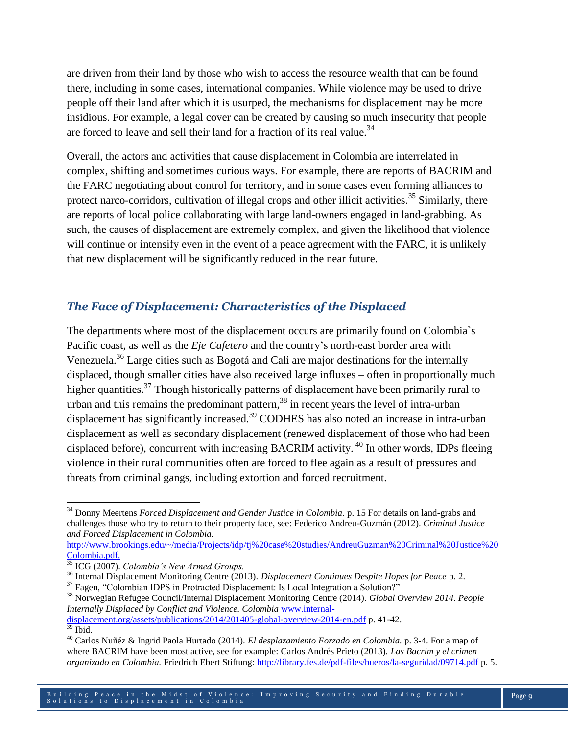are driven from their land by those who wish to access the resource wealth that can be found there, including in some cases, international companies. While violence may be used to drive people off their land after which it is usurped, the mechanisms for displacement may be more insidious. For example, a legal cover can be created by causing so much insecurity that people are forced to leave and sell their land for a fraction of its real value.<sup>34</sup>

Overall, the actors and activities that cause displacement in Colombia are interrelated in complex, shifting and sometimes curious ways. For example, there are reports of BACRIM and the FARC negotiating about control for territory, and in some cases even forming alliances to protect narco-corridors, cultivation of illegal crops and other illicit activities.<sup>35</sup> Similarly, there are reports of local police collaborating with large land-owners engaged in land-grabbing. As such, the causes of displacement are extremely complex, and given the likelihood that violence will continue or intensify even in the event of a peace agreement with the FARC, it is unlikely that new displacement will be significantly reduced in the near future.

#### *The Face of Displacement: Characteristics of the Displaced*

The departments where most of the displacement occurs are primarily found on Colombia`s Pacific coast, as well as the *Eje Cafetero* and the country's north-east border area with Venezuela.<sup>36</sup> Large cities such as Bogotá and Cali are major destinations for the internally displaced, though smaller cities have also received large influxes – often in proportionally much higher quantities.<sup>37</sup> Though historically patterns of displacement have been primarily rural to urban and this remains the predominant pattern, <sup>38</sup> in recent years the level of intra-urban displacement has significantly increased.<sup>39</sup> CODHES has also noted an increase in intra-urban displacement as well as secondary displacement (renewed displacement of those who had been displaced before), concurrent with increasing BACRIM activity.<sup>40</sup> In other words, IDPs fleeing violence in their rural communities often are forced to flee again as a result of pressures and threats from criminal gangs, including extortion and forced recruitment.

[http://www.brookings.edu/~/media/Projects/idp/tj%20case%20studies/AndreuGuzman%20Criminal%20Justice%20](http://www.brookings.edu/~/media/Projects/idp/tj%20case%20studies/AndreuGuzman%20Criminal%20Justice%20Colombia.pdf) [Colombia.pdf.](http://www.brookings.edu/~/media/Projects/idp/tj%20case%20studies/AndreuGuzman%20Criminal%20Justice%20Colombia.pdf)

[displacement.org/assets/publications/2014/201405-global-overview-2014-en.pdf](http://www.internal-displacement.org/assets/publications/2014/201405-global-overview-2014-en.pdf) p. 41-42.

l

<sup>34</sup> Donny Meertens *Forced Displacement and Gender Justice in Colombia*. p. 15 For details on land-grabs and challenges those who try to return to their property face, see: Federico Andreu-Guzmán (2012). *Criminal Justice and Forced Displacement in Colombia.* 

<sup>35</sup> ICG (2007). *Colombia's New Armed Groups.*

<sup>36</sup> Internal Displacement Monitoring Centre (2013). *Displacement Continues Despite Hopes for Peace* p. 2.

<sup>&</sup>lt;sup>37</sup> Fagen, "Colombian IDPS in Protracted Displacement: Is Local Integration a Solution?"

<sup>38</sup> Norwegian Refugee Council/Internal Displacement Monitoring Centre (2014). *Global Overview 2014. People Internally Displaced by Conflict and Violence. Colombia* [www.internal-](http://www.internal-displacement.org/assets/publications/2014/201405-global-overview-2014-en.pdf)

 $39$  Ibid.

<sup>40</sup> Carlos Nuñéz & Ingrid Paola Hurtado (2014). *El desplazamiento Forzado en Colombia.* p. 3-4. For a map of where BACRIM have been most active, see for example: Carlos Andrés Prieto (2013). *Las Bacrim y el crimen organizado en Colombia.* Friedrich Ebert Stiftung:<http://library.fes.de/pdf-files/bueros/la-seguridad/09714.pdf> p. 5.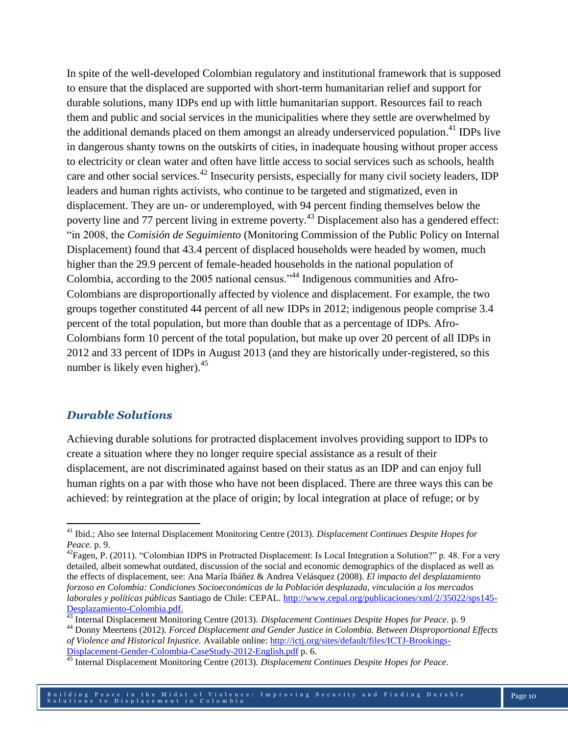In spite of the well-developed Colombian regulatory and institutional framework that is supposed to ensure that the displaced are supported with short-term humanitarian relief and support for durable solutions, many IDPs end up with little humanitarian support. Resources fail to reach them and public and social services in the municipalities where they settle are overwhelmed by the additional demands placed on them amongst an already underserviced population.<sup>41</sup> IDPs live in dangerous shanty towns on the outskirts of cities, in inadequate housing without proper access to electricity or clean water and often have little access to social services such as schools, health care and other social services.<sup>42</sup> Insecurity persists, especially for many civil society leaders, IDP leaders and human rights activists, who continue to be targeted and stigmatized, even in displacement. They are un- or underemployed, with 94 percent finding themselves below the poverty line and 77 percent living in extreme poverty.<sup>43</sup> Displacement also has a gendered effect: "in 2008, the *Comisión de Seguimiento* (Monitoring Commission of the Public Policy on Internal Displacement) found that 43.4 percent of displaced households were headed by women, much higher than the 29.9 percent of female-headed households in the national population of Colombia, according to the 2005 national census."<sup>44</sup> Indigenous communities and Afro-Colombians are disproportionally affected by violence and displacement. For example, the two groups together constituted 44 percent of all new IDPs in 2012; indigenous people comprise 3.4 percent of the total population, but more than double that as a percentage of IDPs. Afro-Colombians form 10 percent of the total population, but make up over 20 percent of all IDPs in 2012 and 33 percent of IDPs in August 2013 (and they are historically under-registered, so this number is likely even higher).<sup>45</sup>

#### *Durable Solutions*

 $\overline{\phantom{a}}$ 

Achieving durable solutions for protracted displacement involves providing support to IDPs to create a situation where they no longer require special assistance as a result of their displacement, are not discriminated against based on their status as an IDP and can enjoy full human rights on a par with those who have not been displaced. There are three ways this can be achieved: by reintegration at the place of origin; by local integration at place of refuge; or by

<sup>41</sup> Ibid.; Also see Internal Displacement Monitoring Centre (2013). *Displacement Continues Despite Hopes for Peace.* p. 9.

<sup>&</sup>lt;sup>42</sup>Fagen, P. (2011). "Colombian IDPS in Protracted Displacement: Is Local Integration a Solution?" p. 48. For a very detailed, albeit somewhat outdated, discussion of the social and economic demographics of the displaced as well as the effects of displacement, see: Ana María Ibáñez & Andrea Velásquez (2008). *El impacto del desplazamiento forzoso en Colombia: Condiciones Socioeconómicas de la Población desplazada, vinculación a los mercados laborales y políticas públicas* Santiago de Chile: CEPAL. [http://www.cepal.org/publicaciones/xml/2/35022/sps145-](http://www.cepal.org/publicaciones/xml/2/35022/sps145-Desplazamiento-Colombia.pdf) [Desplazamiento-Colombia.pdf.](http://www.cepal.org/publicaciones/xml/2/35022/sps145-Desplazamiento-Colombia.pdf)

<sup>43</sup> Internal Displacement Monitoring Centre (2013). *Displacement Continues Despite Hopes for Peace.* p. 9

<sup>44</sup> Donny Meertens (2012). *Forced Displacement and Gender Justice in Colombia. Between Disproportional Effects of Violence and Historical Injustice.* Available online: [http://ictj.org/sites/default/files/ICTJ-Brookings-](http://ictj.org/sites/default/files/ICTJ-Brookings-Displacement-Gender-Colombia-CaseStudy-2012-English.pdf)[Displacement-Gender-Colombia-CaseStudy-2012-English.pdf](http://ictj.org/sites/default/files/ICTJ-Brookings-Displacement-Gender-Colombia-CaseStudy-2012-English.pdf) p. 6.

<sup>45</sup> Internal Displacement Monitoring Centre (2013). *Displacement Continues Despite Hopes for Peace.*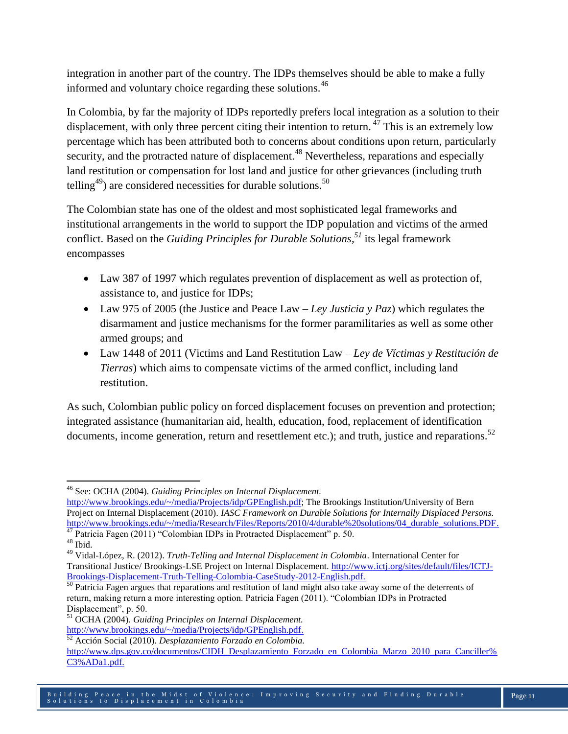integration in another part of the country. The IDPs themselves should be able to make a fully informed and voluntary choice regarding these solutions.<sup>46</sup>

In Colombia, by far the majority of IDPs reportedly prefers local integration as a solution to their displacement, with only three percent citing their intention to return.<sup>47</sup> This is an extremely low percentage which has been attributed both to concerns about conditions upon return, particularly security, and the protracted nature of displacement.<sup>48</sup> Nevertheless, reparations and especially land restitution or compensation for lost land and justice for other grievances (including truth telling<sup>49</sup>) are considered necessities for durable solutions.<sup>50</sup>

The Colombian state has one of the oldest and most sophisticated legal frameworks and institutional arrangements in the world to support the IDP population and victims of the armed conflict. Based on the *Guiding Principles for Durable Solutions, <sup>51</sup>* its legal framework encompasses

- Law 387 of 1997 which regulates prevention of displacement as well as protection of, assistance to, and justice for IDPs;
- Law 975 of 2005 (the Justice and Peace Law *Ley Justicia y Paz*) which regulates the disarmament and justice mechanisms for the former paramilitaries as well as some other armed groups; and
- Law 1448 of 2011 (Victims and Land Restitution Law *Ley de Víctimas y Restitución de Tierras*) which aims to compensate victims of the armed conflict, including land restitution.

As such, Colombian public policy on forced displacement focuses on prevention and protection; integrated assistance (humanitarian aid, health, education, food, replacement of identification documents, income generation, return and resettlement etc.); and truth, justice and reparations.<sup>52</sup>

 $\overline{\phantom{a}}$ 

<sup>46</sup> See: OCHA (2004). *Guiding Principles on Internal Displacement.*

[http://www.brookings.edu/~/media/Projects/idp/GPEnglish.pdf;](http://www.brookings.edu/~/media/Projects/idp/GPEnglish.pdf) The Brookings Institution/University of Bern Project on Internal Displacement (2010). *IASC Framework on Durable Solutions for Internally Displaced Persons.*  [http://www.brookings.edu/~/media/Research/Files/Reports/2010/4/durable%20solutions/04\\_durable\\_solutions.PDF.](http://www.brookings.edu/~/media/Research/Files/Reports/2010/4/durable%20solutions/04_durable_solutions.PDF) <sup>47</sup> Patricia Fagen (2011) "Colombian IDPs in Protracted Displacement" p. 50.

 $^{\rm 48}$  Ibid.

<sup>49</sup> Vidal-López, R. (2012). *Truth-Telling and Internal Displacement in Colombia*. International Center for Transitional Justice/ Brookings-LSE Project on Internal Displacement. [http://www.ictj.org/sites/default/files/ICTJ-](http://www.ictj.org/sites/default/files/ICTJ-Brookings-Displacement-Truth-Telling-Colombia-CaseStudy-2012-English.pdf)[Brookings-Displacement-Truth-Telling-Colombia-CaseStudy-2012-English.pdf.](http://www.ictj.org/sites/default/files/ICTJ-Brookings-Displacement-Truth-Telling-Colombia-CaseStudy-2012-English.pdf)

<sup>&</sup>lt;sup>50</sup> Patricia Fagen argues that reparations and restitution of land might also take away some of the deterrents of return, making return a more interesting option. Patricia Fagen (2011). "Colombian IDPs in Protracted Displacement", p. 50.

<sup>51</sup> OCHA (2004). *Guiding Principles on Internal Displacement.*

[http://www.brookings.edu/~/media/Projects/idp/GPEnglish.pdf.](http://www.brookings.edu/~/media/Projects/idp/GPEnglish.pdf)

<sup>52</sup> Acción Social (2010). *Desplazamiento Forzado en Colombia.*  [http://www.dps.gov.co/documentos/CIDH\\_Desplazamiento\\_Forzado\\_en\\_Colombia\\_Marzo\\_2010\\_para\\_Canciller%](http://www.dps.gov.co/documentos/CIDH_Desplazamiento_Forzado_en_Colombia_Marzo_2010_para_Canciller%C3%ADa1.pdf) [C3%ADa1.pdf.](http://www.dps.gov.co/documentos/CIDH_Desplazamiento_Forzado_en_Colombia_Marzo_2010_para_Canciller%C3%ADa1.pdf)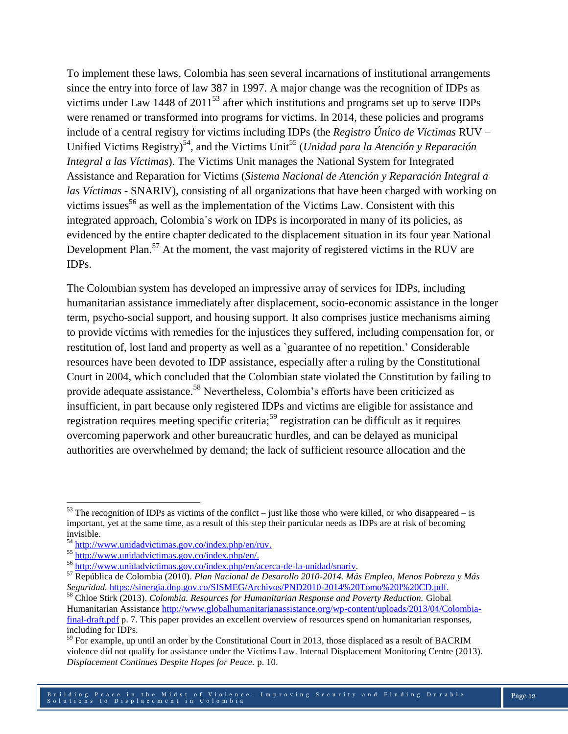To implement these laws, Colombia has seen several incarnations of institutional arrangements since the entry into force of law 387 in 1997. A major change was the recognition of IDPs as victims under Law 1448 of  $2011^{53}$  after which institutions and programs set up to serve IDPs were renamed or transformed into programs for victims. In 2014, these policies and programs include of a central registry for victims including IDPs (the *Registro Único de Víctimas* RUV – Unified Victims Registry)<sup>54</sup>, and the Victims Unit<sup>55</sup> (*Unidad para la Atención y Reparación Integral a las Víctimas*). The Victims Unit manages the National System for Integrated Assistance and Reparation for Victims (*Sistema Nacional de Atención y Reparación Integral a las Víctimas* - SNARIV), consisting of all organizations that have been charged with working on victims issues<sup>56</sup> as well as the implementation of the Victims Law. Consistent with this integrated approach, Colombia`s work on IDPs is incorporated in many of its policies, as evidenced by the entire chapter dedicated to the displacement situation in its four year National Development Plan.<sup>57</sup> At the moment, the vast majority of registered victims in the RUV are IDPs.

The Colombian system has developed an impressive array of services for IDPs, including humanitarian assistance immediately after displacement, socio-economic assistance in the longer term, psycho-social support, and housing support. It also comprises justice mechanisms aiming to provide victims with remedies for the injustices they suffered, including compensation for, or restitution of, lost land and property as well as a `guarantee of no repetition.' Considerable resources have been devoted to IDP assistance, especially after a ruling by the Constitutional Court in 2004, which concluded that the Colombian state violated the Constitution by failing to provide adequate assistance.<sup>58</sup> Nevertheless, Colombia's efforts have been criticized as insufficient, in part because only registered IDPs and victims are eligible for assistance and registration requires meeting specific criteria;<sup>59</sup> registration can be difficult as it requires overcoming paperwork and other bureaucratic hurdles, and can be delayed as municipal authorities are overwhelmed by demand; the lack of sufficient resource allocation and the

l

 $53$  The recognition of IDPs as victims of the conflict – just like those who were killed, or who disappeared – is important, yet at the same time, as a result of this step their particular needs as IDPs are at risk of becoming invisible.

<sup>&</sup>lt;sup>54</sup> [http://www.unidadvictimas.gov.co/index.php/en/ruv.](http://www.unidadvictimas.gov.co/index.php/en/ruv)

<sup>55</sup> [http://www.unidadvictimas.gov.co/index.php/en/.](http://www.unidadvictimas.gov.co/index.php/en/)

<sup>56</sup> [http://www.unidadvictimas.gov.co/index.php/en/acerca-de-la-unidad/snariv.](http://www.unidadvictimas.gov.co/index.php/en/acerca-de-la-unidad/snariv)

<sup>57</sup> República de Colombia (2010). *Plan Nacional de Desarollo 2010-2014. Más Empleo, Menos Pobreza y Más Seguridad.* [https://sinergia.dnp.gov.co/SISMEG/Archivos/PND2010-2014%20Tomo%20I%20CD.pdf.](https://sinergia.dnp.gov.co/SISMEG/Archivos/PND2010-2014%20Tomo%20I%20CD.pdf)

<sup>58</sup> Chloe Stirk (2013). *Colombia. Resources for Humanitarian Response and Poverty Reduction.* Global Humanitarian Assistanc[e http://www.globalhumanitarianassistance.org/wp-content/uploads/2013/04/Colombia](http://www.globalhumanitarianassistance.org/wp-content/uploads/2013/04/Colombia-final-draft.pdf)[final-draft.pdf](http://www.globalhumanitarianassistance.org/wp-content/uploads/2013/04/Colombia-final-draft.pdf) p. 7. This paper provides an excellent overview of resources spend on humanitarian responses, including for IDPs.

 $59$  For example, up until an order by the Constitutional Court in 2013, those displaced as a result of BACRIM violence did not qualify for assistance under the Victims Law. Internal Displacement Monitoring Centre (2013). *Displacement Continues Despite Hopes for Peace.* p. 10.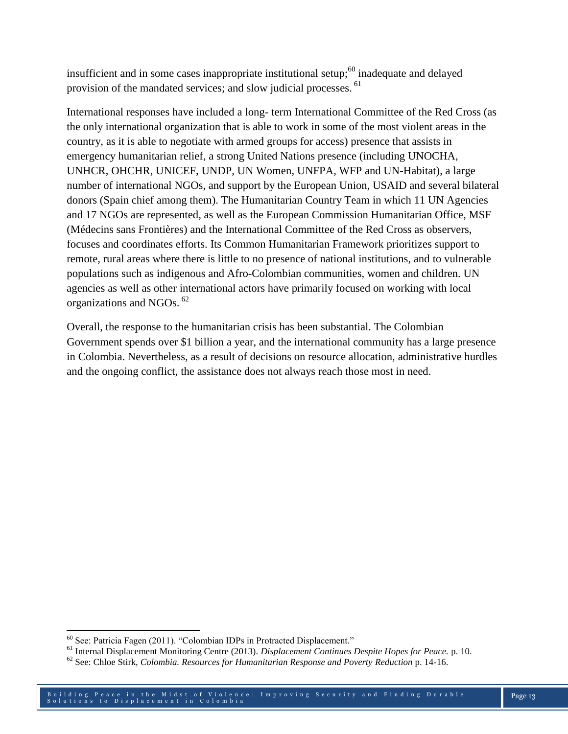insufficient and in some cases inappropriate institutional setup;<sup>60</sup> inadequate and delayed provision of the mandated services; and slow judicial processes. <sup>61</sup>

International responses have included a long- term International Committee of the Red Cross (as the only international organization that is able to work in some of the most violent areas in the country, as it is able to negotiate with armed groups for access) presence that assists in emergency humanitarian relief, a strong United Nations presence (including UNOCHA, UNHCR, OHCHR, UNICEF, UNDP, UN Women, UNFPA, WFP and UN-Habitat), a large number of international NGOs, and support by the European Union, USAID and several bilateral donors (Spain chief among them). The Humanitarian Country Team in which 11 UN Agencies and 17 NGOs are represented, as well as the European Commission Humanitarian Office, MSF (Médecins sans Frontières) and the International Committee of the Red Cross as observers, focuses and coordinates efforts. Its Common Humanitarian Framework prioritizes support to remote, rural areas where there is little to no presence of national institutions, and to vulnerable populations such as indigenous and Afro-Colombian communities, women and children. UN agencies as well as other international actors have primarily focused on working with local organizations and NGOs. <sup>62</sup>

Overall, the response to the humanitarian crisis has been substantial. The Colombian Government spends over \$1 billion a year, and the international community has a large presence in Colombia. Nevertheless, as a result of decisions on resource allocation, administrative hurdles and the ongoing conflict, the assistance does not always reach those most in need.

 $\overline{\phantom{a}}$ <sup>60</sup> See: Patricia Fagen (2011). "Colombian IDPs in Protracted Displacement."

<sup>61</sup> Internal Displacement Monitoring Centre (2013). *Displacement Continues Despite Hopes for Peace.* p. 10.

<sup>62</sup> See: Chloe Stirk, *Colombia. Resources for Humanitarian Response and Poverty Reduction* p. 14-16.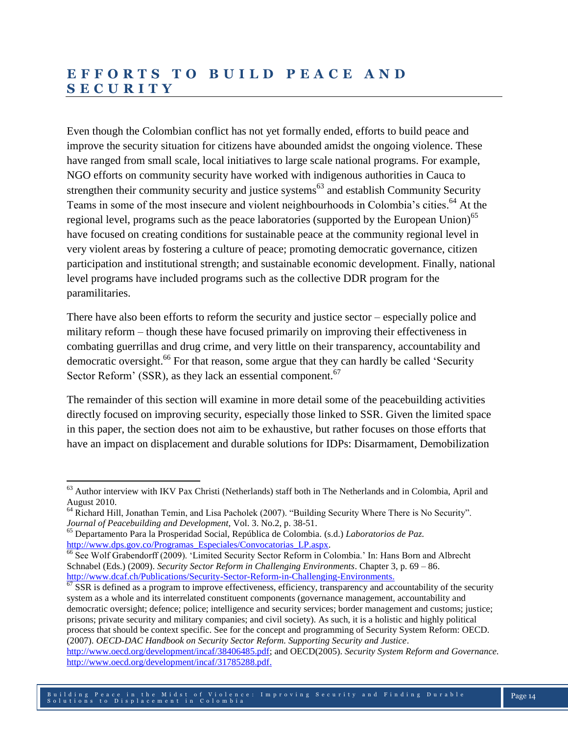## **E F F O R T S T O B U I L D P E A C E A N D S E C U R I T Y**

Even though the Colombian conflict has not yet formally ended, efforts to build peace and improve the security situation for citizens have abounded amidst the ongoing violence. These have ranged from small scale, local initiatives to large scale national programs. For example, NGO efforts on community security have worked with indigenous authorities in Cauca to strengthen their community security and justice systems<sup> $63$ </sup> and establish Community Security Teams in some of the most insecure and violent neighbourhoods in Colombia's cities. <sup>64</sup> At the regional level, programs such as the peace laboratories (supported by the European Union)<sup>65</sup> have focused on creating conditions for sustainable peace at the community regional level in very violent areas by fostering a culture of peace; promoting democratic governance, citizen participation and institutional strength; and sustainable economic development. Finally, national level programs have included programs such as the collective DDR program for the paramilitaries.

There have also been efforts to reform the security and justice sector – especially police and military reform – though these have focused primarily on improving their effectiveness in combating guerrillas and drug crime, and very little on their transparency, accountability and democratic oversight.<sup>66</sup> For that reason, some argue that they can hardly be called 'Security Sector Reform' (SSR), as they lack an essential component.<sup>67</sup>

The remainder of this section will examine in more detail some of the peacebuilding activities directly focused on improving security, especially those linked to SSR. Given the limited space in this paper, the section does not aim to be exhaustive, but rather focuses on those efforts that have an impact on displacement and durable solutions for IDPs: Disarmament, Demobilization

 $\overline{\phantom{a}}$ 

 $\frac{67}{25}$  SSR is defined as a program to improve effectiveness, efficiency, transparency and accountability of the security system as a whole and its interrelated constituent components (governance management, accountability and democratic oversight; defence; police; intelligence and security services; border management and customs; justice; prisons; private security and military companies; and civil society). As such, it is a holistic and highly political process that should be context specific. See for the concept and programming of Security System Reform: OECD. (2007). *OECD-DAC Handbook on Security Sector Reform. Supporting Security and Justice*. [http://www.oecd.org/development/incaf/38406485.pdf;](http://www.oecd.org/development/incaf/38406485.pdf) and OECD(2005). *Security System Reform and Governance.*

[http://www.oecd.org/development/incaf/31785288.pdf.](http://www.oecd.org/development/incaf/31785288.pdf)

<sup>&</sup>lt;sup>63</sup> Author interview with IKV Pax Christi (Netherlands) staff both in The Netherlands and in Colombia, April and August 2010.

<sup>&</sup>lt;sup>64</sup> Richard Hill, Jonathan Temin, and Lisa Pacholek (2007). "Building Security Where There is No Security". *Journal of Peacebuilding and Development,* Vol. 3. No.2, p. 38-51.

<sup>65</sup> Departamento Para la Prosperidad Social, República de Colombia. (s.d.) *Laboratorios de Paz.*  [http://www.dps.gov.co/Programas\\_Especiales/Convocatorias\\_LP.aspx.](http://www.dps.gov.co/Programas_Especiales/Convocatorias_LP.aspx)

<sup>&</sup>lt;sup>66</sup> See Wolf Grabendorff (2009). 'Limited Security Sector Reform in Colombia.' In: Hans Born and Albrecht Schnabel (Eds.) (2009). *Security Sector Reform in Challenging Environments*. Chapter 3, p. 69 – 86. [http://www.dcaf.ch/Publications/Security-Sector-Reform-in-Challenging-Environments.](http://www.dcaf.ch/Publications/Security-Sector-Reform-in-Challenging-Environments)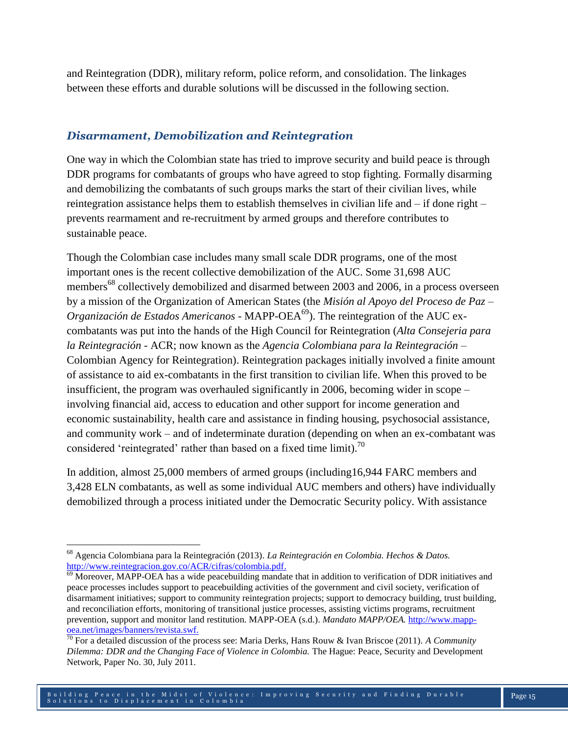and Reintegration (DDR), military reform, police reform, and consolidation. The linkages between these efforts and durable solutions will be discussed in the following section.

## *Disarmament, Demobilization and Reintegration*

One way in which the Colombian state has tried to improve security and build peace is through DDR programs for combatants of groups who have agreed to stop fighting. Formally disarming and demobilizing the combatants of such groups marks the start of their civilian lives, while reintegration assistance helps them to establish themselves in civilian life and – if done right – prevents rearmament and re-recruitment by armed groups and therefore contributes to sustainable peace.

Though the Colombian case includes many small scale DDR programs, one of the most important ones is the recent collective demobilization of the AUC. Some 31,698 AUC members<sup>68</sup> collectively demobilized and disarmed between 2003 and 2006, in a process overseen by a mission of the Organization of American States (the *Misión al Apoyo del Proceso de Paz – Organización de Estados Americanos* - MAPP-OEA<sup>69</sup>). The reintegration of the AUC excombatants was put into the hands of the High Council for Reintegration (*Alta Consejeria para la Reintegración* - ACR; now known as the *Agencia Colombiana para la Reintegración* – Colombian Agency for Reintegration). Reintegration packages initially involved a finite amount of assistance to aid ex-combatants in the first transition to civilian life. When this proved to be insufficient, the program was overhauled significantly in 2006, becoming wider in scope – involving financial aid, access to education and other support for income generation and economic sustainability, health care and assistance in finding housing, psychosocial assistance, and community work – and of indeterminate duration (depending on when an ex-combatant was considered 'reintegrated' rather than based on a fixed time limit).<sup>70</sup>

In addition, almost 25,000 members of armed groups (including16,944 FARC members and 3,428 ELN combatants, as well as some individual AUC members and others) have individually demobilized through a process initiated under the Democratic Security policy. With assistance

 $\overline{\phantom{a}}$ 

<sup>68</sup> Agencia Colombiana para la Reintegración (2013). *La Reintegración en Colombia. Hechos & Datos.*  [http://www.reintegracion.gov.co/ACR/cifras/colombia.pdf.](http://www.reintegracion.gov.co/ACR/cifras/colombia.pdf)

 $\overline{69}$  Moreover, MAPP-OEA has a wide peacebuilding mandate that in addition to verification of DDR initiatives and peace processes includes support to peacebuilding activities of the government and civil society, verification of disarmament initiatives; support to community reintegration projects; support to democracy building, trust building, and reconciliation efforts, monitoring of transitional justice processes, assisting victims programs, recruitment prevention, support and monitor land restitution. MAPP-OEA (s.d.). *Mandato MAPP/OEA.* [http://www.mapp](http://www.mapp-oea.net/images/banners/revista.swf)[oea.net/images/banners/revista.swf.](http://www.mapp-oea.net/images/banners/revista.swf)

<sup>70</sup> For a detailed discussion of the process see: Maria Derks, Hans Rouw & Ivan Briscoe (2011). *A Community Dilemma: DDR and the Changing Face of Violence in Colombia.* The Hague: Peace, Security and Development Network, Paper No. 30, July 2011.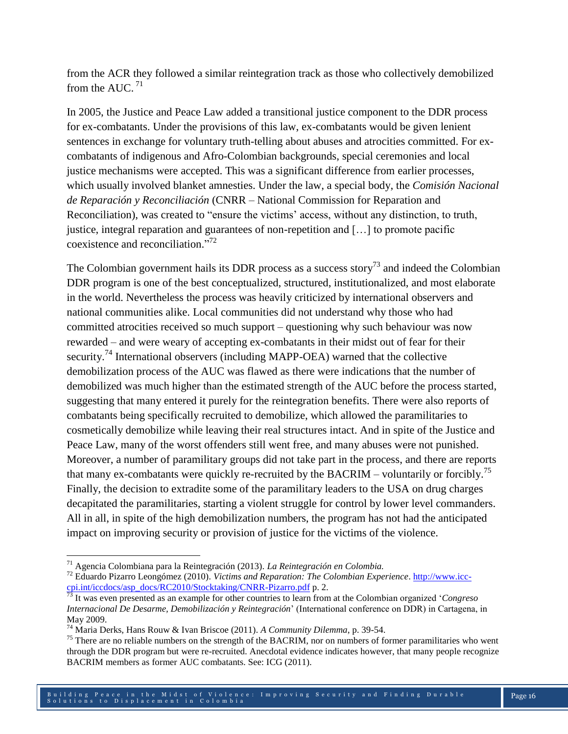from the ACR they followed a similar reintegration track as those who collectively demobilized from the AUC.  $71$ 

In 2005, the Justice and Peace Law added a transitional justice component to the DDR process for ex-combatants. Under the provisions of this law, ex-combatants would be given lenient sentences in exchange for voluntary truth-telling about abuses and atrocities committed. For excombatants of indigenous and Afro-Colombian backgrounds, special ceremonies and local justice mechanisms were accepted. This was a significant difference from earlier processes, which usually involved blanket amnesties. Under the law, a special body, the *Comisión Nacional de Reparación y Reconciliación* (CNRR – National Commission for Reparation and Reconciliation), was created to "ensure the victims' access, without any distinction, to truth, justice, integral reparation and guarantees of non-repetition and […] to promote pacific coexistence and reconciliation." 72

The Colombian government hails its DDR process as a success story<sup>73</sup> and indeed the Colombian DDR program is one of the best conceptualized, structured, institutionalized, and most elaborate in the world. Nevertheless the process was heavily criticized by international observers and national communities alike. Local communities did not understand why those who had committed atrocities received so much support – questioning why such behaviour was now rewarded – and were weary of accepting ex-combatants in their midst out of fear for their security.<sup>74</sup> International observers (including MAPP-OEA) warned that the collective demobilization process of the AUC was flawed as there were indications that the number of demobilized was much higher than the estimated strength of the AUC before the process started, suggesting that many entered it purely for the reintegration benefits. There were also reports of combatants being specifically recruited to demobilize, which allowed the paramilitaries to cosmetically demobilize while leaving their real structures intact. And in spite of the Justice and Peace Law, many of the worst offenders still went free, and many abuses were not punished. Moreover, a number of paramilitary groups did not take part in the process, and there are reports that many ex-combatants were quickly re-recruited by the BACRIM – voluntarily or forcibly.<sup>75</sup> Finally, the decision to extradite some of the paramilitary leaders to the USA on drug charges decapitated the paramilitaries, starting a violent struggle for control by lower level commanders. All in all, in spite of the high demobilization numbers, the program has not had the anticipated impact on improving security or provision of justice for the victims of the violence.

 $\overline{\phantom{a}}$ <sup>71</sup> Agencia Colombiana para la Reintegración (2013). *La Reintegración en Colombia.*

<sup>72</sup> Eduardo Pizarro Leongómez (2010). *Victims and Reparation: The Colombian Experience*[. http://www.icc](http://www.icc-cpi.int/iccdocs/asp_docs/RC2010/Stocktaking/CNRR-Pizarro.pdf)[cpi.int/iccdocs/asp\\_docs/RC2010/Stocktaking/CNRR-Pizarro.pdf](http://www.icc-cpi.int/iccdocs/asp_docs/RC2010/Stocktaking/CNRR-Pizarro.pdf) p. 2.

<sup>73</sup> It was even presented as an example for other countries to learn from at the Colombian organized '*Congreso Internacional De Desarme, Demobilización y Reintegración*' (International conference on DDR) in Cartagena, in May 2009.

<sup>74</sup> Maria Derks, Hans Rouw & Ivan Briscoe (2011). *A Community Dilemma*, p. 39-54.

<sup>&</sup>lt;sup>75</sup> There are no reliable numbers on the strength of the BACRIM, nor on numbers of former paramilitaries who went through the DDR program but were re-recruited. Anecdotal evidence indicates however, that many people recognize BACRIM members as former AUC combatants. See: ICG (2011).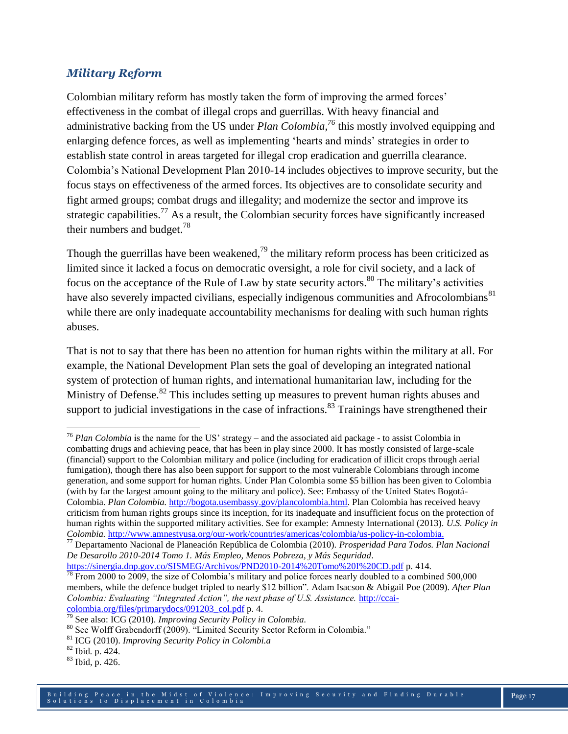## *Military Reform*

Colombian military reform has mostly taken the form of improving the armed forces' effectiveness in the combat of illegal crops and guerrillas. With heavy financial and administrative backing from the US under *Plan Colombia, <sup>76</sup>* this mostly involved equipping and enlarging defence forces, as well as implementing 'hearts and minds' strategies in order to establish state control in areas targeted for illegal crop eradication and guerrilla clearance. Colombia's National Development Plan 2010-14 includes objectives to improve security, but the focus stays on effectiveness of the armed forces. Its objectives are to consolidate security and fight armed groups; combat drugs and illegality; and modernize the sector and improve its strategic capabilities.<sup>77</sup> As a result, the Colombian security forces have significantly increased their numbers and budget.<sup>78</sup>

Though the guerrillas have been weakened,<sup>79</sup> the military reform process has been criticized as limited since it lacked a focus on democratic oversight, a role for civil society, and a lack of focus on the acceptance of the Rule of Law by state security actors.<sup>80</sup> The military's activities have also severely impacted civilians, especially indigenous communities and Afrocolombians<sup>81</sup> while there are only inadequate accountability mechanisms for dealing with such human rights abuses.

That is not to say that there has been no attention for human rights within the military at all. For example, the National Development Plan sets the goal of developing an integrated national system of protection of human rights, and international humanitarian law, including for the Ministry of Defense.<sup>82</sup> This includes setting up measures to prevent human rights abuses and support to judicial investigations in the case of infractions.<sup>83</sup> Trainings have strengthened their

 $\overline{\phantom{a}}$ 

<sup>76</sup> *Plan Colombia* is the name for the US' strategy – and the associated aid package - to assist Colombia in combatting drugs and achieving peace, that has been in play since 2000. It has mostly consisted of large-scale (financial) support to the Colombian military and police (including for eradication of illicit crops through aerial fumigation), though there has also been support for support to the most vulnerable Colombians through income generation, and some support for human rights. Under Plan Colombia some \$5 billion has been given to Colombia (with by far the largest amount going to the military and police). See: Embassy of the United States Bogotá-Colombia. *Plan Colombia.* [http://bogota.usembassy.gov/plancolombia.html.](http://bogota.usembassy.gov/plancolombia.html) Plan Colombia has received heavy criticism from human rights groups since its inception, for its inadequate and insufficient focus on the protection of human rights within the supported military activities. See for example: Amnesty International (2013). *U.S. Policy in Colombia.* [http://www.amnestyusa.org/our-work/countries/americas/colombia/us-policy-in-colombia.](http://www.amnestyusa.org/our-work/countries/americas/colombia/us-policy-in-colombia)

<sup>77</sup> Departamento Nacional de Planeación República de Colombia (2010). *Prosperidad Para Todos. Plan Nacional De Desarollo 2010-2014 Tomo 1. Más Empleo, Menos Pobreza, y Más Seguridad*.

<https://sinergia.dnp.gov.co/SISMEG/Archivos/PND2010-2014%20Tomo%20I%20CD.pdf> p. 414.  $^{78}$  From 2000 to 2009, the size of Colombia's military and police forces nearly doubled to a combined 500,000 members, while the defence budget tripled to nearly \$12 billion". Adam Isacson & Abigail Poe (2009). *After Plan Colombia: Evaluating "Integrated Action", the next phase of U.S. Assistance.* [http://ccai](http://ccai-colombia.org/files/primarydocs/091203_col.pdf)[colombia.org/files/primarydocs/091203\\_col.pdf](http://ccai-colombia.org/files/primarydocs/091203_col.pdf) p. 4.

<sup>79</sup> See also: ICG (2010). *Improving Security Policy in Colombia.*

<sup>80</sup> See Wolff Grabendorff (2009). "Limited Security Sector Reform in Colombia."

<sup>81</sup> ICG (2010). *Improving Security Policy in Colombi.a*

<sup>82</sup> Ibid*.* p. 424.

 $83$  Ibid, p. 426.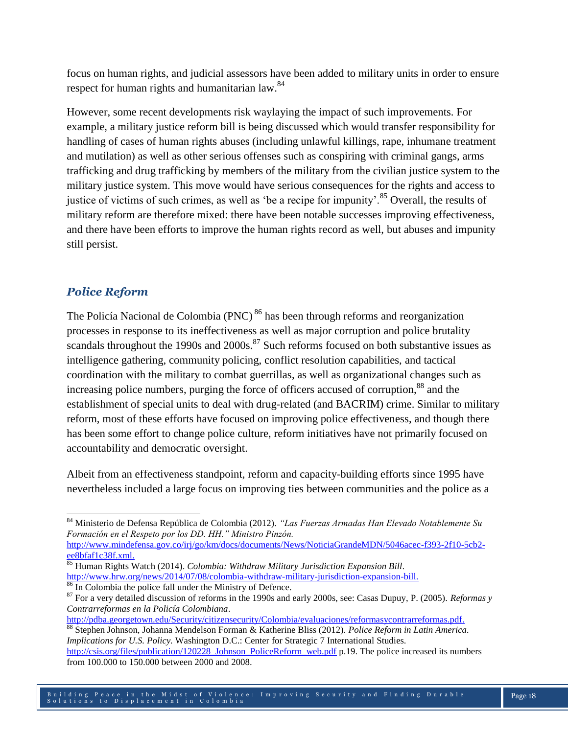focus on human rights, and judicial assessors have been added to military units in order to ensure respect for human rights and humanitarian law.<sup>84</sup>

However, some recent developments risk waylaying the impact of such improvements. For example, a military justice reform bill is being discussed which would transfer responsibility for handling of cases of human rights abuses (including unlawful killings, rape, inhumane treatment and mutilation) as well as other serious offenses such as conspiring with criminal gangs, arms trafficking and drug trafficking by members of the military from the civilian justice system to the military justice system. This move would have serious consequences for the rights and access to justice of victims of such crimes, as well as 'be a recipe for impunity'.<sup>85</sup> Overall, the results of military reform are therefore mixed: there have been notable successes improving effectiveness, and there have been efforts to improve the human rights record as well, but abuses and impunity still persist.

## *Police Reform*

 $\overline{a}$ 

The Policía Nacional de Colombia (PNC)<sup>86</sup> has been through reforms and reorganization processes in response to its ineffectiveness as well as major corruption and police brutality scandals throughout the 1990s and  $2000s$ .<sup>87</sup> Such reforms focused on both substantive issues as intelligence gathering, community policing, conflict resolution capabilities, and tactical coordination with the military to combat guerrillas, as well as organizational changes such as increasing police numbers, purging the force of officers accused of corruption,<sup>88</sup> and the establishment of special units to deal with drug-related (and BACRIM) crime. Similar to military reform, most of these efforts have focused on improving police effectiveness, and though there has been some effort to change police culture, reform initiatives have not primarily focused on accountability and democratic oversight.

Albeit from an effectiveness standpoint, reform and capacity-building efforts since 1995 have nevertheless included a large focus on improving ties between communities and the police as a

[ee8bfaf1c38f.xml.](http://www.mindefensa.gov.co/irj/go/km/docs/documents/News/NoticiaGrandeMDN/5046acec-f393-2f10-5cb2-ee8bfaf1c38f.xml)

[http://pdba.georgetown.edu/Security/citizensecurity/Colombia/evaluaciones/reformasycontrarreformas.pdf.](http://pdba.georgetown.edu/Security/citizensecurity/Colombia/evaluaciones/reformasycontrarreformas.pdf)

<sup>84</sup> Ministerio de Defensa República de Colombia (2012). *"Las Fuerzas Armadas Han Elevado Notablemente Su Formación en el Respeto por los DD. HH." Ministro Pinzón.*  [http://www.mindefensa.gov.co/irj/go/km/docs/documents/News/NoticiaGrandeMDN/5046acec-f393-2f10-5cb2-](http://www.mindefensa.gov.co/irj/go/km/docs/documents/News/NoticiaGrandeMDN/5046acec-f393-2f10-5cb2-ee8bfaf1c38f.xml)

<sup>85</sup> Human Rights Watch (2014). *Colombia: Withdraw Military Jurisdiction Expansion Bill*. [http://www.hrw.org/news/2014/07/08/colombia-withdraw-military-jurisdiction-expansion-bill.](http://www.hrw.org/news/2014/07/08/colombia-withdraw-military-jurisdiction-expansion-bill)

<sup>&</sup>lt;sup>86</sup> In Colombia the police fall under the Ministry of Defence.

<sup>87</sup> For a very detailed discussion of reforms in the 1990s and early 2000s, see: Casas Dupuy, P. (2005). *Reformas y Contrarreformas en la Policía Colombiana*.

<sup>88</sup> Stephen Johnson, Johanna Mendelson Forman & Katherine Bliss (2012). *Police Reform in Latin America. Implications for U.S. Policy.* Washington D.C.: Center for Strategic 7 International Studies. [http://csis.org/files/publication/120228\\_Johnson\\_PoliceReform\\_web.pdf](http://csis.org/files/publication/120228_Johnson_PoliceReform_web.pdf) p.19. The police increased its numbers from 100.000 to 150.000 between 2000 and 2008.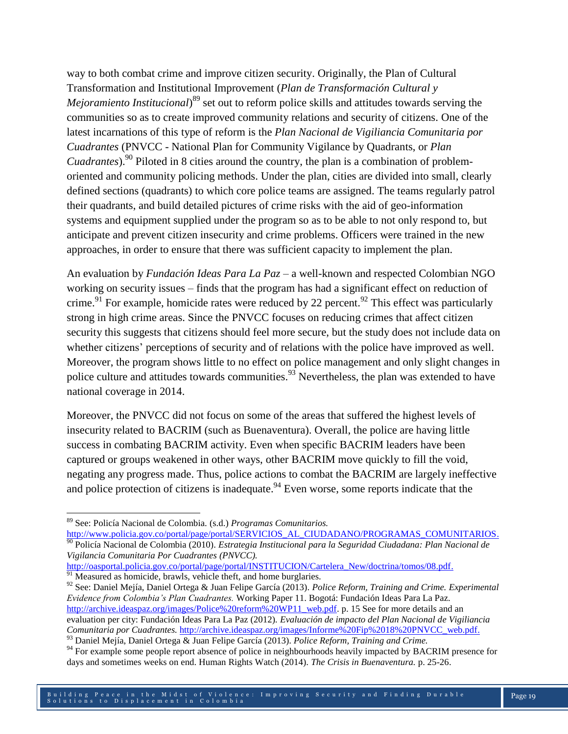way to both combat crime and improve citizen security. Originally, the Plan of Cultural Transformation and Institutional Improvement (*Plan de Transformación Cultural y Mejoramiento Institucional*) <sup>89</sup> set out to reform police skills and attitudes towards serving the communities so as to create improved community relations and security of citizens. One of the latest incarnations of this type of reform is the *Plan Nacional de Vigiliancia Comunitaria por Cuadrantes* (PNVCC - National Plan for Community Vigilance by Quadrants, or *Plan Cuadrantes*).<sup>90</sup> Piloted in 8 cities around the country, the plan is a combination of problemoriented and community policing methods. Under the plan, cities are divided into small, clearly defined sections (quadrants) to which core police teams are assigned. The teams regularly patrol their quadrants, and build detailed pictures of crime risks with the aid of geo-information systems and equipment supplied under the program so as to be able to not only respond to, but anticipate and prevent citizen insecurity and crime problems. Officers were trained in the new approaches, in order to ensure that there was sufficient capacity to implement the plan.

An evaluation by *Fundación Ideas Para La Paz* – a well-known and respected Colombian NGO working on security issues – finds that the program has had a significant effect on reduction of crime.<sup>91</sup> For example, homicide rates were reduced by 22 percent.<sup>92</sup> This effect was particularly strong in high crime areas. Since the PNVCC focuses on reducing crimes that affect citizen security this suggests that citizens should feel more secure, but the study does not include data on whether citizens' perceptions of security and of relations with the police have improved as well. Moreover, the program shows little to no effect on police management and only slight changes in police culture and attitudes towards communities.<sup>93</sup> Nevertheless, the plan was extended to have national coverage in 2014.

Moreover, the PNVCC did not focus on some of the areas that suffered the highest levels of insecurity related to BACRIM (such as Buenaventura). Overall, the police are having little success in combating BACRIM activity. Even when specific BACRIM leaders have been captured or groups weakened in other ways, other BACRIM move quickly to fill the void, negating any progress made. Thus, police actions to combat the BACRIM are largely ineffective and police protection of citizens is inadequate.<sup>94</sup> Even worse, some reports indicate that the

 $\overline{a}$ 

[http://www.policia.gov.co/portal/page/portal/SERVICIOS\\_AL\\_CIUDADANO/PROGRAMAS\\_COMUNITARIOS.](http://www.policia.gov.co/portal/page/portal/SERVICIOS_AL_CIUDADANO/PROGRAMAS_COMUNITARIOS) <sup>90</sup> Policía Nacional de Colombia (2010). *Estrategia Institucional para la Seguridad Ciudadana: Plan Nacional de Vigilancia Comunitaria Por Cuadrantes (PNVCC).*

[http://oasportal.policia.gov.co/portal/page/portal/INSTITUCION/Cartelera\\_New/doctrina/tomos/08.pdf.](http://oasportal.policia.gov.co/portal/page/portal/INSTITUCION/Cartelera_New/doctrina/tomos/08.pdf)  $91$  Measured as homicide, brawls, vehicle theft, and home burglaries.

<sup>92</sup> See: Daniel Mejía, Daniel Ortega & Juan Felipe García (2013). *Police Reform, Training and Crime. Experimental Evidence from Colombia's Plan Cuadrantes.* Working Paper 11. Bogotá: Fundación Ideas Para La Paz. [http://archive.ideaspaz.org/images/Police%20reform%20WP11\\_web.pdf.](http://archive.ideaspaz.org/images/Police%20reform%20WP11_web.pdf) p. 15 See for more details and an evaluation per city: Fundación Ideas Para La Paz (2012). *Evaluación de impacto del Plan Nacional de Vigiliancia Comunitaria por Cuadrantes.* [http://archive.ideaspaz.org/images/Informe%20Fip%2018%20PNVCC\\_web.pdf.](http://archive.ideaspaz.org/images/Informe%20Fip%2018%20PNVCC_web.pdf)

<sup>93</sup> Daniel Mejía, Daniel Ortega & Juan Felipe García (2013). *Police Reform, Training and Crime.* 

<sup>89</sup> See: Policía Nacional de Colombia. (s.d.) *Programas Comunitarios.* 

<sup>&</sup>lt;sup>94</sup> For example some people report absence of police in neighbourhoods heavily impacted by BACRIM presence for days and sometimes weeks on end. Human Rights Watch (2014). *The Crisis in Buenaventura.* p. 25-26.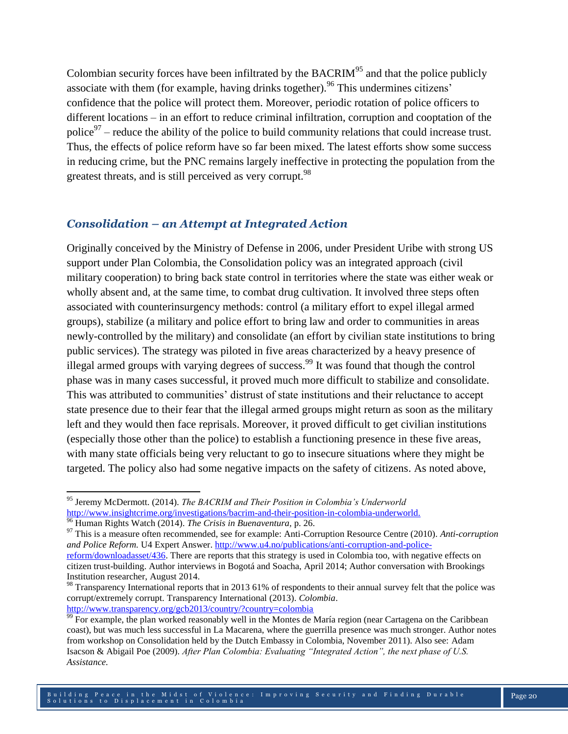Colombian security forces have been infiltrated by the  $BACRIM<sup>95</sup>$  and that the police publicly associate with them (for example, having drinks together). <sup>96</sup> This undermines citizens' confidence that the police will protect them. Moreover, periodic rotation of police officers to different locations – in an effort to reduce criminal infiltration, corruption and cooptation of the police<sup>97</sup> – reduce the ability of the police to build community relations that could increase trust. Thus, the effects of police reform have so far been mixed. The latest efforts show some success in reducing crime, but the PNC remains largely ineffective in protecting the population from the greatest threats, and is still perceived as very corrupt.<sup>98</sup>

#### *Consolidation – an Attempt at Integrated Action*

Originally conceived by the Ministry of Defense in 2006, under President Uribe with strong US support under Plan Colombia, the Consolidation policy was an integrated approach (civil military cooperation) to bring back state control in territories where the state was either weak or wholly absent and, at the same time, to combat drug cultivation. It involved three steps often associated with counterinsurgency methods: control (a military effort to expel illegal armed groups), stabilize (a military and police effort to bring law and order to communities in areas newly-controlled by the military) and consolidate (an effort by civilian state institutions to bring public services). The strategy was piloted in five areas characterized by a heavy presence of illegal armed groups with varying degrees of success.<sup>99</sup> It was found that though the control phase was in many cases successful, it proved much more difficult to stabilize and consolidate. This was attributed to communities' distrust of state institutions and their reluctance to accept state presence due to their fear that the illegal armed groups might return as soon as the military left and they would then face reprisals. Moreover, it proved difficult to get civilian institutions (especially those other than the police) to establish a functioning presence in these five areas, with many state officials being very reluctant to go to insecure situations where they might be targeted. The policy also had some negative impacts on the safety of citizens. As noted above,

 $\overline{\phantom{a}}$ 

<sup>95</sup> Jeremy McDermott. (2014). *The BACRIM and Their Position in Colombia's Underworld* [http://www.insightcrime.org/investigations/bacrim-and-their-position-in-colombia-underworld.](http://www.insightcrime.org/investigations/bacrim-and-their-position-in-colombia-underworld)

<sup>96</sup> Human Rights Watch (2014). *The Crisis in Buenaventura,* p. 26.

<sup>97</sup> This is a measure often recommended, see for example: Anti-Corruption Resource Centre (2010). *Anti-corruption and Police Reform.* U4 Expert Answer. [http://www.u4.no/publications/anti-corruption-and-police](http://www.u4.no/publications/anti-corruption-and-police-reform/downloadasset/436)[reform/downloadasset/436.](http://www.u4.no/publications/anti-corruption-and-police-reform/downloadasset/436) There are reports that this strategy is used in Colombia too, with negative effects on citizen trust-building. Author interviews in Bogotá and Soacha, April 2014; Author conversation with Brookings Institution researcher, August 2014.

<sup>&</sup>lt;sup>98</sup> Transparency International reports that in 2013 61% of respondents to their annual survey felt that the police was corrupt/extremely corrupt. Transparency International (2013). *Colombia*.

<http://www.transparency.org/gcb2013/country/?country=colombia>

 $\frac{99}{99}$  For example, the plan worked reasonably well in the Montes de María region (near Cartagena on the Caribbean coast), but was much less successful in La Macarena, where the guerrilla presence was much stronger. Author notes from workshop on Consolidation held by the Dutch Embassy in Colombia, November 2011). Also see: Adam Isacson & Abigail Poe (2009). *After Plan Colombia: Evaluating "Integrated Action", the next phase of U.S. Assistance.*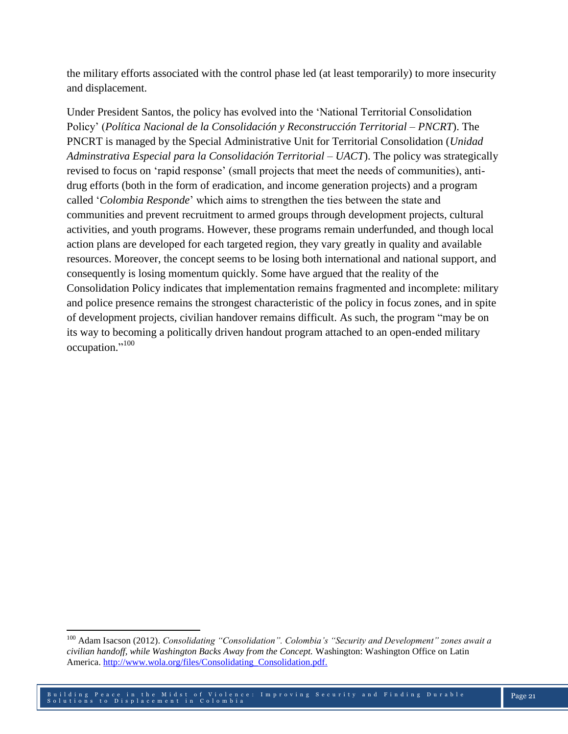the military efforts associated with the control phase led (at least temporarily) to more insecurity and displacement.

Under President Santos, the policy has evolved into the 'National Territorial Consolidation Policy' (*Política Nacional de la Consolidación y Reconstrucción Territorial – PNCRT*). The PNCRT is managed by the Special Administrative Unit for Territorial Consolidation (*Unidad Adminstrativa Especial para la Consolidación Territorial – UACT*). The policy was strategically revised to focus on 'rapid response' (small projects that meet the needs of communities), antidrug efforts (both in the form of eradication, and income generation projects) and a program called '*Colombia Responde*' which aims to strengthen the ties between the state and communities and prevent recruitment to armed groups through development projects, cultural activities, and youth programs. However, these programs remain underfunded, and though local action plans are developed for each targeted region, they vary greatly in quality and available resources. Moreover, the concept seems to be losing both international and national support, and consequently is losing momentum quickly. Some have argued that the reality of the Consolidation Policy indicates that implementation remains fragmented and incomplete: military and police presence remains the strongest characteristic of the policy in focus zones, and in spite of development projects, civilian handover remains difficult. As such, the program "may be on its way to becoming a politically driven handout program attached to an open-ended military occupation."<sup>100</sup>

 $\overline{\phantom{a}}$ 

<sup>100</sup> Adam Isacson (2012). *Consolidating "Consolidation". Colombia's "Security and Development" zones await a civilian handoff, while Washington Backs Away from the Concept.* Washington: Washington Office on Latin America. [http://www.wola.org/files/Consolidating\\_Consolidation.pdf.](http://www.wola.org/files/Consolidating_Consolidation.pdf)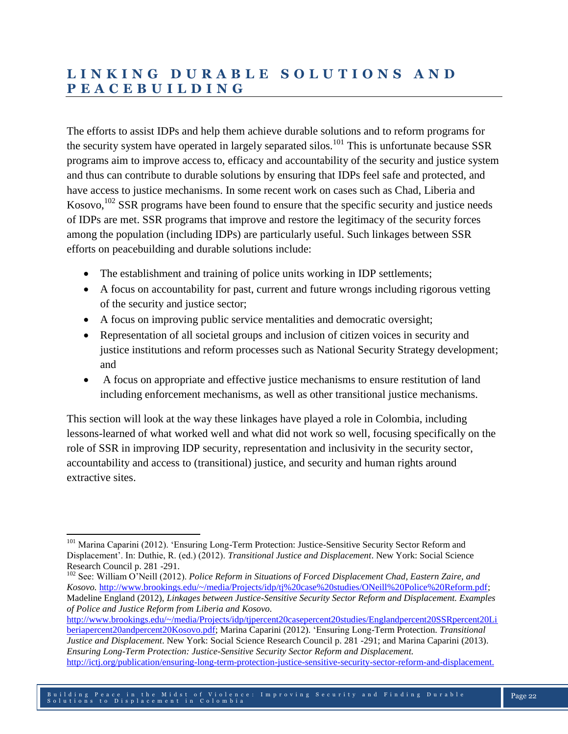## **L I N K I N G D U R A B L E S O L U T I O N S A N D P E A C E B U I L D I N G**

The efforts to assist IDPs and help them achieve durable solutions and to reform programs for the security system have operated in largely separated silos.<sup>101</sup> This is unfortunate because SSR programs aim to improve access to, efficacy and accountability of the security and justice system and thus can contribute to durable solutions by ensuring that IDPs feel safe and protected, and have access to justice mechanisms. In some recent work on cases such as Chad, Liberia and Kosovo,  $102$  SSR programs have been found to ensure that the specific security and justice needs of IDPs are met. SSR programs that improve and restore the legitimacy of the security forces among the population (including IDPs) are particularly useful. Such linkages between SSR efforts on peacebuilding and durable solutions include:

- The establishment and training of police units working in IDP settlements;
- A focus on accountability for past, current and future wrongs including rigorous vetting of the security and justice sector;
- A focus on improving public service mentalities and democratic oversight;
- Representation of all societal groups and inclusion of citizen voices in security and justice institutions and reform processes such as National Security Strategy development; and
- A focus on appropriate and effective justice mechanisms to ensure restitution of land including enforcement mechanisms, as well as other transitional justice mechanisms.

This section will look at the way these linkages have played a role in Colombia, including lessons-learned of what worked well and what did not work so well, focusing specifically on the role of SSR in improving IDP security, representation and inclusivity in the security sector, accountability and access to (transitional) justice, and security and human rights around extractive sites.

[http://www.brookings.edu/~/media/Projects/idp/tjpercent20casepercent20studies/Englandpercent20SSRpercent20Li](http://www.brookings.edu/~/media/Projects/idp/tj%20case%20studies/England%20SSR%20Liberia%20and%20Kosovo.pdf) [beriapercent20andpercent20Kosovo.pdf;](http://www.brookings.edu/~/media/Projects/idp/tj%20case%20studies/England%20SSR%20Liberia%20and%20Kosovo.pdf) Marina Caparini (2012). 'Ensuring Long-Term Protection. *Transitional Justice and Displacement*. New York: Social Science Research Council p. 281 -291; and Marina Caparini (2013). *Ensuring Long-Term Protection: Justice-Sensitive Security Sector Reform and Displacement.*  [http://ictj.org/publication/ensuring-long-term-protection-justice-sensitive-security-sector-reform-and-displacement.](http://ictj.org/publication/ensuring-long-term-protection-justice-sensitive-security-sector-reform-and-displacement)

 $\overline{a}$ <sup>101</sup> Marina Caparini (2012). 'Ensuring Long-Term Protection: Justice-Sensitive Security Sector Reform and Displacement'. In: Duthie, R. (ed.) (2012). *Transitional Justice and Displacement*. New York: Social Science Research Council p. 281 -291.

<sup>102</sup> See: William O'Neill (2012). *Police Reform in Situations of Forced Displacement Chad, Eastern Zaire, and Kosovo.* [http://www.brookings.edu/~/media/Projects/idp/tj%20case%20studies/ONeill%20Police%20Reform.pdf;](http://www.brookings.edu/~/media/Projects/idp/tj%20case%20studies/ONeill%20Police%20Reform.pdf) Madeline England (2012), *Linkages between Justice-Sensitive Security Sector Reform and Displacement. Examples of Police and Justice Reform from Liberia and Kosovo.*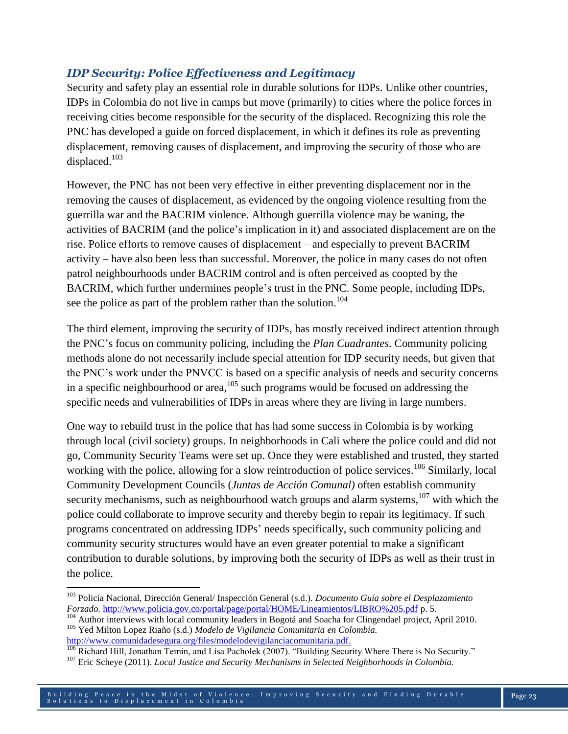## *IDP Security: Police Effectiveness and Legitimacy*

Security and safety play an essential role in durable solutions for IDPs. Unlike other countries, IDPs in Colombia do not live in camps but move (primarily) to cities where the police forces in receiving cities become responsible for the security of the displaced. Recognizing this role the PNC has developed a guide on forced displacement, in which it defines its role as preventing displacement, removing causes of displacement, and improving the security of those who are displaced.<sup>103</sup>

However, the PNC has not been very effective in either preventing displacement nor in the removing the causes of displacement, as evidenced by the ongoing violence resulting from the guerrilla war and the BACRIM violence. Although guerrilla violence may be waning, the activities of BACRIM (and the police's implication in it) and associated displacement are on the rise. Police efforts to remove causes of displacement – and especially to prevent BACRIM activity – have also been less than successful. Moreover, the police in many cases do not often patrol neighbourhoods under BACRIM control and is often perceived as coopted by the BACRIM, which further undermines people's trust in the PNC. Some people, including IDPs, see the police as part of the problem rather than the solution.<sup>104</sup>

The third element, improving the security of IDPs, has mostly received indirect attention through the PNC's focus on community policing, including the *Plan Cuadrantes*. Community policing methods alone do not necessarily include special attention for IDP security needs, but given that the PNC's work under the PNVCC is based on a specific analysis of needs and security concerns in a specific neighbourhood or area,  $105$  such programs would be focused on addressing the specific needs and vulnerabilities of IDPs in areas where they are living in large numbers.

One way to rebuild trust in the police that has had some success in Colombia is by working through local (civil society) groups. In neighborhoods in Cali where the police could and did not go, Community Security Teams were set up. Once they were established and trusted, they started working with the police, allowing for a slow reintroduction of police services.<sup>106</sup> Similarly, local Community Development Councils (*Juntas de Acción Comunal)* often establish community security mechanisms, such as neighbourhood watch groups and alarm systems, <sup>107</sup> with which the police could collaborate to improve security and thereby begin to repair its legitimacy. If such programs concentrated on addressing IDPs' needs specifically, such community policing and community security structures would have an even greater potential to make a significant contribution to durable solutions, by improving both the security of IDPs as well as their trust in the police.

 $\overline{\phantom{a}}$ 

<sup>103</sup> Policía Nacional, Dirección General/ Inspección General (s.d.). *Documento Guía sobre el Desplazamiento Forzado.* <http://www.policia.gov.co/portal/page/portal/HOME/Lineamientos/LIBRO%205.pdf> p. 5.

<sup>&</sup>lt;sup>104</sup> Author interviews with local community leaders in Bogotá and Soacha for Clingendael project, April 2010. <sup>105</sup> Yed Milton Lopez Riaño (s.d.) *Modelo de Vigilancia Comunitaria en Colombia.* 

[http://www.comunidadesegura.org/files/modelodevigilanciacomunitaria.pdf.](http://www.comunidadesegura.org/files/modelodevigilanciacomunitaria.pdf)

<sup>&</sup>lt;sup>106</sup> Richard Hill, Jonathan Temin, and Lisa Pacholek (2007). "Building Security Where There is No Security."

<sup>107</sup> Eric Scheye (2011). *Local Justice and Security Mechanisms in Selected Neighborhoods in Colombia.*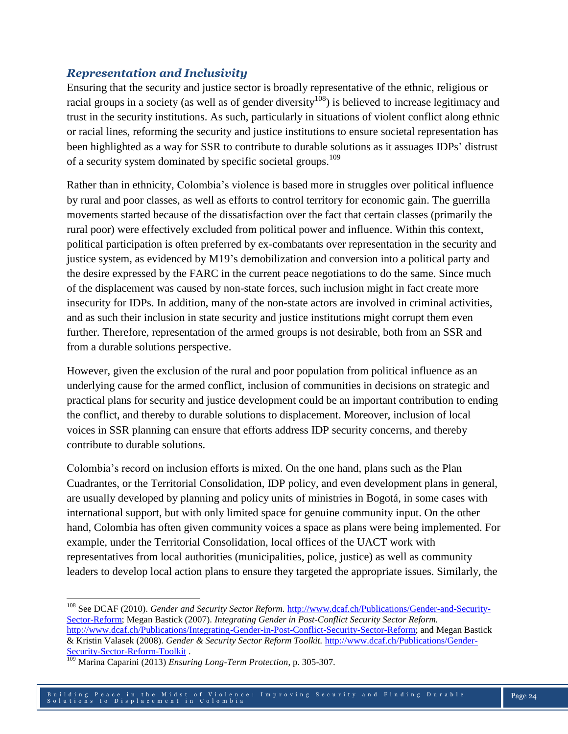## *Representation and Inclusivity*

Ensuring that the security and justice sector is broadly representative of the ethnic, religious or racial groups in a society (as well as of gender diversity<sup>108</sup>) is believed to increase legitimacy and trust in the security institutions. As such, particularly in situations of violent conflict along ethnic or racial lines, reforming the security and justice institutions to ensure societal representation has been highlighted as a way for SSR to contribute to durable solutions as it assuages IDPs' distrust of a security system dominated by specific societal groups.<sup>109</sup>

Rather than in ethnicity, Colombia's violence is based more in struggles over political influence by rural and poor classes, as well as efforts to control territory for economic gain. The guerrilla movements started because of the dissatisfaction over the fact that certain classes (primarily the rural poor) were effectively excluded from political power and influence. Within this context, political participation is often preferred by ex-combatants over representation in the security and justice system, as evidenced by M19's demobilization and conversion into a political party and the desire expressed by the FARC in the current peace negotiations to do the same. Since much of the displacement was caused by non-state forces, such inclusion might in fact create more insecurity for IDPs. In addition, many of the non-state actors are involved in criminal activities, and as such their inclusion in state security and justice institutions might corrupt them even further. Therefore, representation of the armed groups is not desirable, both from an SSR and from a durable solutions perspective.

However, given the exclusion of the rural and poor population from political influence as an underlying cause for the armed conflict, inclusion of communities in decisions on strategic and practical plans for security and justice development could be an important contribution to ending the conflict, and thereby to durable solutions to displacement. Moreover, inclusion of local voices in SSR planning can ensure that efforts address IDP security concerns, and thereby contribute to durable solutions.

Colombia's record on inclusion efforts is mixed. On the one hand, plans such as the Plan Cuadrantes, or the Territorial Consolidation, IDP policy, and even development plans in general, are usually developed by planning and policy units of ministries in Bogotá, in some cases with international support, but with only limited space for genuine community input. On the other hand, Colombia has often given community voices a space as plans were being implemented. For example, under the Territorial Consolidation, local offices of the UACT work with representatives from local authorities (municipalities, police, justice) as well as community leaders to develop local action plans to ensure they targeted the appropriate issues. Similarly, the

l

<sup>108</sup> See DCAF (2010). *Gender and Security Sector Reform.* [http://www.dcaf.ch/Publications/Gender-and-Security-](http://www.dcaf.ch/Publications/Gender-and-Security-Sector-Reform)[Sector-Reform;](http://www.dcaf.ch/Publications/Gender-and-Security-Sector-Reform) Megan Bastick (2007). *Integrating Gender in Post-Conflict Security Sector Reform.* [http://www.dcaf.ch/Publications/Integrating-Gender-in-Post-Conflict-Security-Sector-Reform;](http://www.dcaf.ch/Publications/Integrating-Gender-in-Post-Conflict-Security-Sector-Reform) and Megan Bastick & Kristin Valasek (2008). *Gender & Security Sector Reform Toolkit.* [http://www.dcaf.ch/Publications/Gender-](http://www.dcaf.ch/Publications/Gender-Security-Sector-Reform-Toolkit)[Security-Sector-Reform-Toolkit](http://www.dcaf.ch/Publications/Gender-Security-Sector-Reform-Toolkit) .<br>
<sup>109</sup> Marine Consult 100 150 Lines

<sup>109</sup> Marina Caparini (2013) *Ensuring Long-Term Protection*, p. 305-307.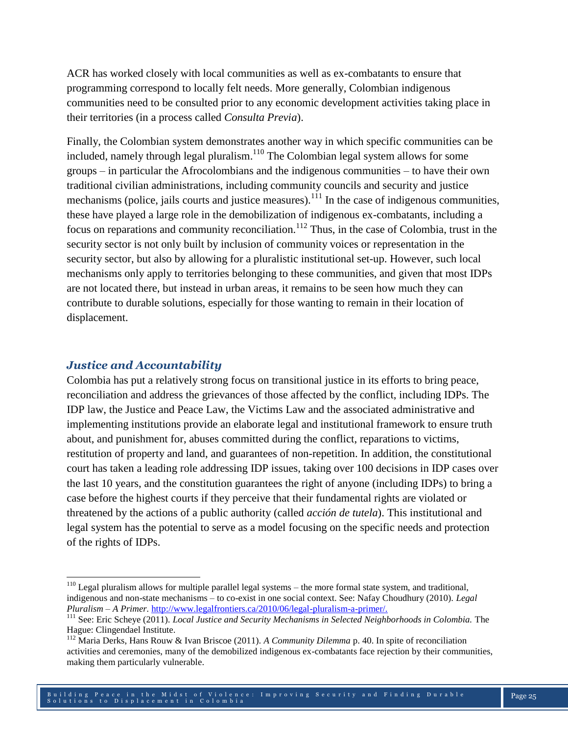ACR has worked closely with local communities as well as ex-combatants to ensure that programming correspond to locally felt needs. More generally, Colombian indigenous communities need to be consulted prior to any economic development activities taking place in their territories (in a process called *Consulta Previa*).

Finally, the Colombian system demonstrates another way in which specific communities can be included, namely through legal pluralism.<sup>110</sup> The Colombian legal system allows for some groups – in particular the Afrocolombians and the indigenous communities – to have their own traditional civilian administrations, including community councils and security and justice mechanisms (police, jails courts and justice measures).<sup>111</sup> In the case of indigenous communities, these have played a large role in the demobilization of indigenous ex-combatants, including a focus on reparations and community reconciliation.<sup>112</sup> Thus, in the case of Colombia, trust in the security sector is not only built by inclusion of community voices or representation in the security sector, but also by allowing for a pluralistic institutional set-up. However, such local mechanisms only apply to territories belonging to these communities, and given that most IDPs are not located there, but instead in urban areas, it remains to be seen how much they can contribute to durable solutions, especially for those wanting to remain in their location of displacement.

#### *Justice and Accountability*

 $\overline{a}$ 

Colombia has put a relatively strong focus on transitional justice in its efforts to bring peace, reconciliation and address the grievances of those affected by the conflict, including IDPs. The IDP law, the Justice and Peace Law, the Victims Law and the associated administrative and implementing institutions provide an elaborate legal and institutional framework to ensure truth about, and punishment for, abuses committed during the conflict, reparations to victims, restitution of property and land, and guarantees of non-repetition. In addition, the constitutional court has taken a leading role addressing IDP issues, taking over 100 decisions in IDP cases over the last 10 years, and the constitution guarantees the right of anyone (including IDPs) to bring a case before the highest courts if they perceive that their fundamental rights are violated or threatened by the actions of a public authority (called *acción de tutela*). This institutional and legal system has the potential to serve as a model focusing on the specific needs and protection of the rights of IDPs.

 $110$  Legal pluralism allows for multiple parallel legal systems – the more formal state system, and traditional, indigenous and non-state mechanisms – to co-exist in one social context. See: Nafay Choudhury (2010). *Legal Pluralism – A Primer.* [http://www.legalfrontiers.ca/2010/06/legal-pluralism-a-primer/.](http://www.legalfrontiers.ca/2010/06/legal-pluralism-a-primer/)

<sup>&</sup>lt;sup>111</sup> See: Eric Scheye (2011). *Local Justice and Security Mechanisms in Selected Neighborhoods in Colombia*. The Hague: Clingendael Institute.

<sup>112</sup> Maria Derks, Hans Rouw & Ivan Briscoe (2011). *A Community Dilemma* p. 40. In spite of reconciliation activities and ceremonies, many of the demobilized indigenous ex-combatants face rejection by their communities, making them particularly vulnerable.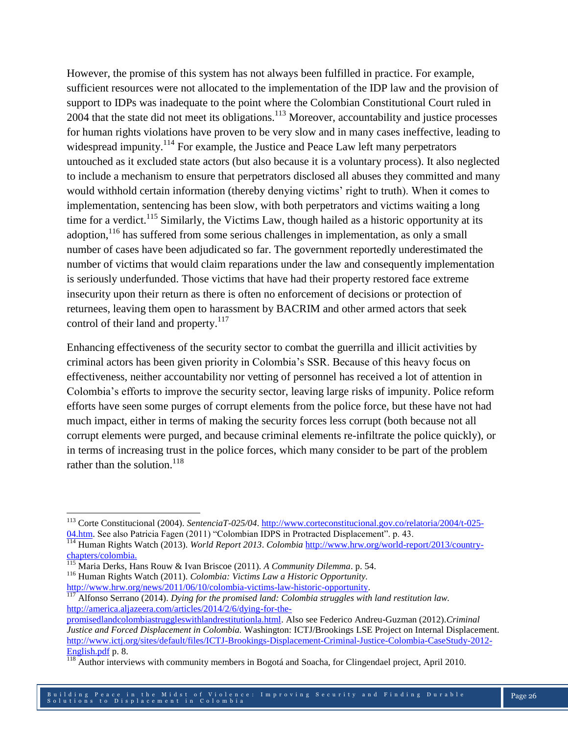However, the promise of this system has not always been fulfilled in practice. For example, sufficient resources were not allocated to the implementation of the IDP law and the provision of support to IDPs was inadequate to the point where the Colombian Constitutional Court ruled in 2004 that the state did not meet its obligations.<sup>113</sup> Moreover, accountability and justice processes for human rights violations have proven to be very slow and in many cases ineffective, leading to widespread impunity.<sup>114</sup> For example, the Justice and Peace Law left many perpetrators untouched as it excluded state actors (but also because it is a voluntary process). It also neglected to include a mechanism to ensure that perpetrators disclosed all abuses they committed and many would withhold certain information (thereby denying victims' right to truth). When it comes to implementation, sentencing has been slow, with both perpetrators and victims waiting a long time for a verdict.<sup>115</sup> Similarly, the Victims Law, though hailed as a historic opportunity at its adoption, <sup>116</sup> has suffered from some serious challenges in implementation, as only a small number of cases have been adjudicated so far. The government reportedly underestimated the number of victims that would claim reparations under the law and consequently implementation is seriously underfunded. Those victims that have had their property restored face extreme insecurity upon their return as there is often no enforcement of decisions or protection of returnees, leaving them open to harassment by BACRIM and other armed actors that seek control of their land and property.<sup>117</sup>

Enhancing effectiveness of the security sector to combat the guerrilla and illicit activities by criminal actors has been given priority in Colombia's SSR. Because of this heavy focus on effectiveness, neither accountability nor vetting of personnel has received a lot of attention in Colombia's efforts to improve the security sector, leaving large risks of impunity. Police reform efforts have seen some purges of corrupt elements from the police force, but these have not had much impact, either in terms of making the security forces less corrupt (both because not all corrupt elements were purged, and because criminal elements re-infiltrate the police quickly), or in terms of increasing trust in the police forces, which many consider to be part of the problem rather than the solution.<sup>118</sup>

<sup>116</sup> Human Rights Watch (2011). *Colombia: Victims Law a Historic Opportunity.*  [http://www.hrw.org/news/2011/06/10/colombia-victims-law-historic-opportunity.](http://www.hrw.org/news/2011/06/10/colombia-victims-law-historic-opportunity)

<sup>117</sup> Alfonso Serrano (2014). *Dying for the promised land: Colombia struggles with land restitution law.*  [http://america.aljazeera.com/articles/2014/2/6/dying-for-the-](http://america.aljazeera.com/articles/2014/2/6/dying-for-the-promisedlandcolombiastruggleswithlandrestitutionla.html)

 $\overline{a}$ <sup>113</sup> Corte Constitucional (2004). *SentenciaT-025/04*. [http://www.corteconstitucional.gov.co/relatoria/2004/t-025-](http://www.corteconstitucional.gov.co/relatoria/2004/t-025-04.htm) [04.htm.](http://www.corteconstitucional.gov.co/relatoria/2004/t-025-04.htm) See also Patricia Fagen (2011) "Colombian IDPS in Protracted Displacement". p. 43.

<sup>114</sup> Human Rights Watch (2013). *World Report 2013*. *Colombia* [http://www.hrw.org/world-report/2013/country](http://www.hrw.org/world-report/2013/country-chapters/colombia)[chapters/colombia.](http://www.hrw.org/world-report/2013/country-chapters/colombia)

<sup>115</sup> Maria Derks, Hans Rouw & Ivan Briscoe (2011). *A Community Dilemma*. p. 54.

[promisedlandcolombiastruggleswithlandrestitutionla.html.](http://america.aljazeera.com/articles/2014/2/6/dying-for-the-promisedlandcolombiastruggleswithlandrestitutionla.html) Also see Federico Andreu-Guzman (2012).*Criminal Justice and Forced Displacement in Colombia.* Washington: ICTJ/Brookings LSE Project on Internal Displacement. [http://www.ictj.org/sites/default/files/ICTJ-Brookings-Displacement-Criminal-Justice-Colombia-CaseStudy-2012-](http://www.ictj.org/sites/default/files/ICTJ-Brookings-Displacement-Criminal-Justice-Colombia-CaseStudy-2012-English.pdf) [English.pdf](http://www.ictj.org/sites/default/files/ICTJ-Brookings-Displacement-Criminal-Justice-Colombia-CaseStudy-2012-English.pdf) p. 8.

<sup>&</sup>lt;sup>118</sup> Author interviews with community members in Bogotá and Soacha, for Clingendael project, April 2010.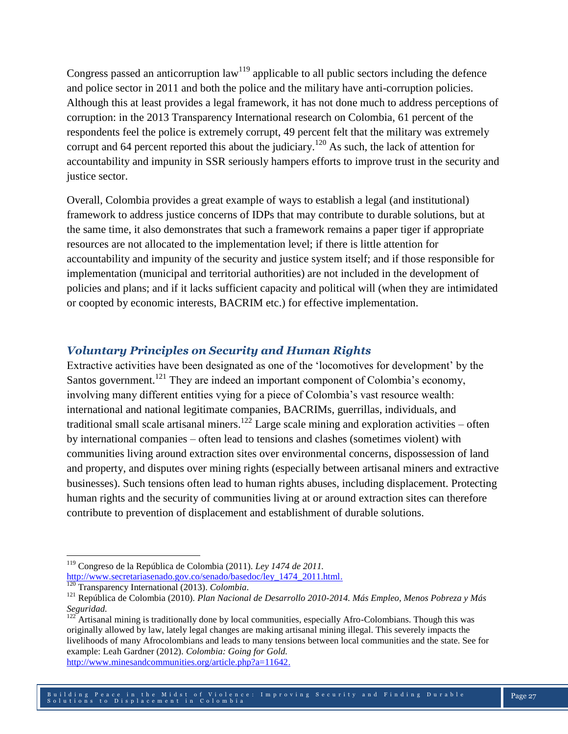Congress passed an anticorruption  $law<sup>119</sup>$  applicable to all public sectors including the defence and police sector in 2011 and both the police and the military have anti-corruption policies. Although this at least provides a legal framework, it has not done much to address perceptions of corruption: in the 2013 Transparency International research on Colombia, 61 percent of the respondents feel the police is extremely corrupt, 49 percent felt that the military was extremely corrupt and 64 percent reported this about the judiciary.<sup>120</sup> As such, the lack of attention for accountability and impunity in SSR seriously hampers efforts to improve trust in the security and justice sector.

Overall, Colombia provides a great example of ways to establish a legal (and institutional) framework to address justice concerns of IDPs that may contribute to durable solutions, but at the same time, it also demonstrates that such a framework remains a paper tiger if appropriate resources are not allocated to the implementation level; if there is little attention for accountability and impunity of the security and justice system itself; and if those responsible for implementation (municipal and territorial authorities) are not included in the development of policies and plans; and if it lacks sufficient capacity and political will (when they are intimidated or coopted by economic interests, BACRIM etc.) for effective implementation.

### *Voluntary Principles on Security and Human Rights*

Extractive activities have been designated as one of the 'locomotives for development' by the Santos government.<sup>121</sup> They are indeed an important component of Colombia's economy, involving many different entities vying for a piece of Colombia's vast resource wealth: international and national legitimate companies, BACRIMs, guerrillas, individuals, and traditional small scale artisanal miners.<sup>122</sup> Large scale mining and exploration activities – often by international companies – often lead to tensions and clashes (sometimes violent) with communities living around extraction sites over environmental concerns, dispossession of land and property, and disputes over mining rights (especially between artisanal miners and extractive businesses). Such tensions often lead to human rights abuses, including displacement. Protecting human rights and the security of communities living at or around extraction sites can therefore contribute to prevention of displacement and establishment of durable solutions.

 $\overline{\phantom{a}}$ <sup>119</sup> Congreso de la República de Colombia (2011). *Ley 1474 de 2011.*  [http://www.secretariasenado.gov.co/senado/basedoc/ley\\_1474\\_2011.html.](http://www.secretariasenado.gov.co/senado/basedoc/ley_1474_2011.html)

<sup>120</sup> Transparency International (2013). *Colombia*.

<sup>121</sup> República de Colombia (2010). *Plan Nacional de Desarrollo 2010-2014. Más Empleo, Menos Pobreza y Más Seguridad.*

<sup>&</sup>lt;sup>122</sup> Artisanal mining is traditionally done by local communities, especially Afro-Colombians. Though this was originally allowed by law, lately legal changes are making artisanal mining illegal. This severely impacts the livelihoods of many Afrocolombians and leads to many tensions between local communities and the state. See for example: Leah Gardner (2012). *Colombia: Going for Gold.* 

[http://www.minesandcommunities.org/article.php?a=11642.](http://www.minesandcommunities.org/article.php?a=11642)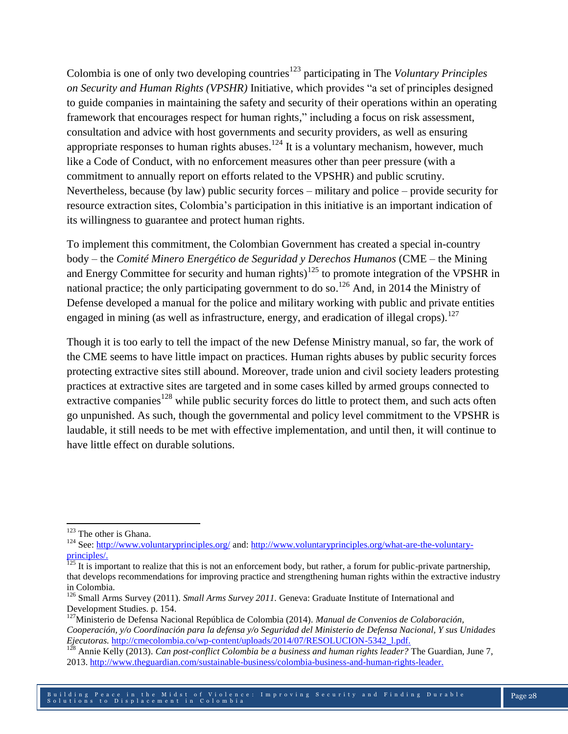Colombia is one of only two developing countries<sup>123</sup> participating in The *Voluntary Principles on Security and Human Rights (VPSHR)* Initiative, which provides "a set of principles designed to guide companies in maintaining the safety and security of their operations within an operating framework that encourages respect for human rights," including a focus on risk assessment, consultation and advice with host governments and security providers, as well as ensuring appropriate responses to human rights abuses.<sup>124</sup> It is a voluntary mechanism, however, much like a Code of Conduct, with no enforcement measures other than peer pressure (with a commitment to annually report on efforts related to the VPSHR) and public scrutiny. Nevertheless, because (by law) public security forces – military and police – provide security for resource extraction sites, Colombia's participation in this initiative is an important indication of its willingness to guarantee and protect human rights.

To implement this commitment, the Colombian Government has created a special in-country body – the *Comité Minero Energético de Seguridad y Derechos Humanos* (CME – the Mining and Energy Committee for security and human rights)<sup>125</sup> to promote integration of the VPSHR in national practice; the only participating government to do so.<sup>126</sup> And, in 2014 the Ministry of Defense developed a manual for the police and military working with public and private entities engaged in mining (as well as infrastructure, energy, and eradication of illegal crops).<sup>127</sup>

Though it is too early to tell the impact of the new Defense Ministry manual, so far, the work of the CME seems to have little impact on practices. Human rights abuses by public security forces protecting extractive sites still abound. Moreover, trade union and civil society leaders protesting practices at extractive sites are targeted and in some cases killed by armed groups connected to extractive companies<sup>128</sup> while public security forces do little to protect them, and such acts often go unpunished. As such, though the governmental and policy level commitment to the VPSHR is laudable, it still needs to be met with effective implementation, and until then, it will continue to have little effect on durable solutions.

 $\overline{\phantom{a}}$ 

<sup>&</sup>lt;sup>123</sup> The other is Ghana.

<sup>&</sup>lt;sup>124</sup> See:<http://www.voluntaryprinciples.org/> and[: http://www.voluntaryprinciples.org/what-are-the-voluntary](http://www.voluntaryprinciples.org/what-are-the-voluntary-principles/)[principles/.](http://www.voluntaryprinciples.org/what-are-the-voluntary-principles/)

 $125$  It is important to realize that this is not an enforcement body, but rather, a forum for public-private partnership, that develops recommendations for improving practice and strengthening human rights within the extractive industry in Colombia.

<sup>126</sup> Small Arms Survey (2011). *Small Arms Survey 2011.* Geneva: Graduate Institute of International and Development Studies. p. 154.

<sup>127</sup>Ministerio de Defensa Nacional República de Colombia (2014). *Manual de Convenios de Colaboración, Cooperación, y/o Coordinación para la defensa y/o Seguridad del Ministerio de Defensa Nacional, Y sus Unidades Ejecutoras.* [http://cmecolombia.co/wp-content/uploads/2014/07/RESOLUCION-5342\\_l.pdf.](http://cmecolombia.co/wp-content/uploads/2014/07/RESOLUCION-5342_l.pdf)

<sup>&</sup>lt;sup>128</sup> Annie Kelly (2013). *Can post-conflict Colombia be a business and human rights leader?* The Guardian, June 7, 2013. [http://www.theguardian.com/sustainable-business/colombia-business-and-human-rights-leader.](http://www.theguardian.com/sustainable-business/colombia-business-and-human-rights-leader)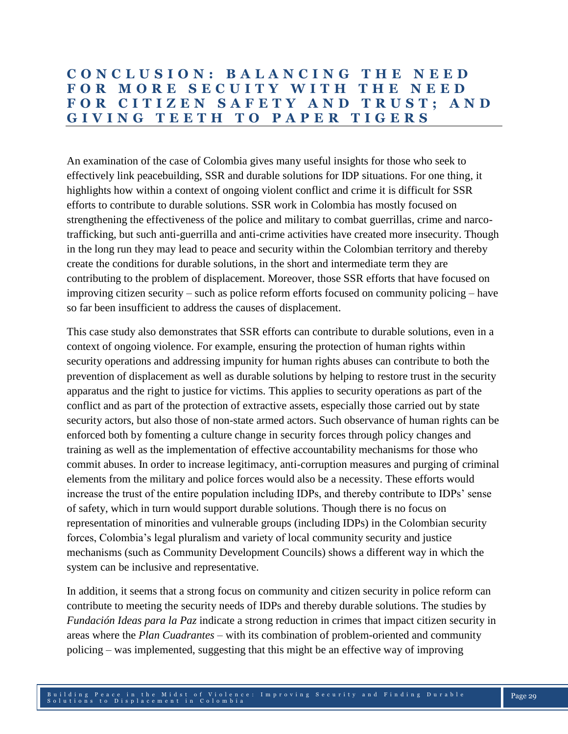## **C O N C L U S I O N : B A L A N C I N G T H E N E E D F O R M O R E S E C U I T Y W I T H T H E N E E D F O R C I T I Z E N S A F E T Y A N D T R U S T ; A N D G I V I N G T E E T H T O P A P E R T I G E R S**

An examination of the case of Colombia gives many useful insights for those who seek to effectively link peacebuilding, SSR and durable solutions for IDP situations. For one thing, it highlights how within a context of ongoing violent conflict and crime it is difficult for SSR efforts to contribute to durable solutions. SSR work in Colombia has mostly focused on strengthening the effectiveness of the police and military to combat guerrillas, crime and narcotrafficking, but such anti-guerrilla and anti-crime activities have created more insecurity. Though in the long run they may lead to peace and security within the Colombian territory and thereby create the conditions for durable solutions, in the short and intermediate term they are contributing to the problem of displacement. Moreover, those SSR efforts that have focused on improving citizen security – such as police reform efforts focused on community policing – have so far been insufficient to address the causes of displacement.

This case study also demonstrates that SSR efforts can contribute to durable solutions, even in a context of ongoing violence. For example, ensuring the protection of human rights within security operations and addressing impunity for human rights abuses can contribute to both the prevention of displacement as well as durable solutions by helping to restore trust in the security apparatus and the right to justice for victims. This applies to security operations as part of the conflict and as part of the protection of extractive assets, especially those carried out by state security actors, but also those of non-state armed actors. Such observance of human rights can be enforced both by fomenting a culture change in security forces through policy changes and training as well as the implementation of effective accountability mechanisms for those who commit abuses. In order to increase legitimacy, anti-corruption measures and purging of criminal elements from the military and police forces would also be a necessity. These efforts would increase the trust of the entire population including IDPs, and thereby contribute to IDPs' sense of safety, which in turn would support durable solutions. Though there is no focus on representation of minorities and vulnerable groups (including IDPs) in the Colombian security forces, Colombia's legal pluralism and variety of local community security and justice mechanisms (such as Community Development Councils) shows a different way in which the system can be inclusive and representative.

In addition, it seems that a strong focus on community and citizen security in police reform can contribute to meeting the security needs of IDPs and thereby durable solutions. The studies by *Fundación Ideas para la Paz* indicate a strong reduction in crimes that impact citizen security in areas where the *Plan Cuadrantes* – with its combination of problem-oriented and community policing – was implemented, suggesting that this might be an effective way of improving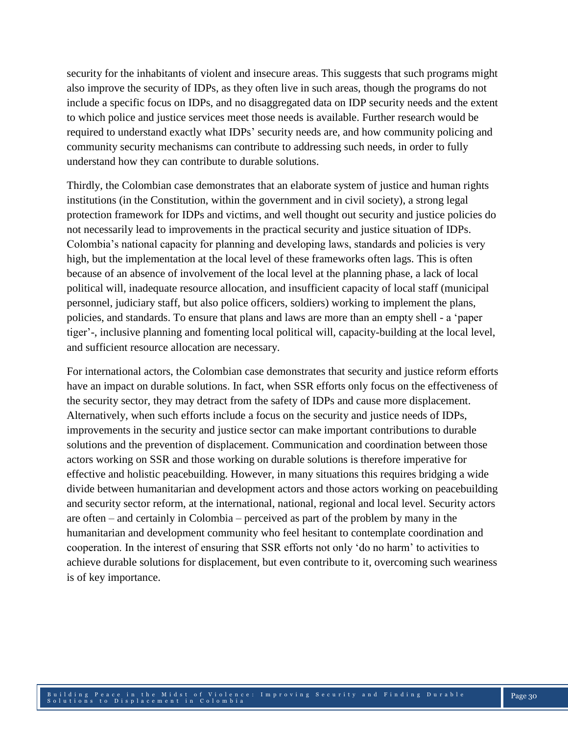security for the inhabitants of violent and insecure areas. This suggests that such programs might also improve the security of IDPs, as they often live in such areas, though the programs do not include a specific focus on IDPs, and no disaggregated data on IDP security needs and the extent to which police and justice services meet those needs is available. Further research would be required to understand exactly what IDPs' security needs are, and how community policing and community security mechanisms can contribute to addressing such needs, in order to fully understand how they can contribute to durable solutions.

Thirdly, the Colombian case demonstrates that an elaborate system of justice and human rights institutions (in the Constitution, within the government and in civil society), a strong legal protection framework for IDPs and victims, and well thought out security and justice policies do not necessarily lead to improvements in the practical security and justice situation of IDPs. Colombia's national capacity for planning and developing laws, standards and policies is very high, but the implementation at the local level of these frameworks often lags. This is often because of an absence of involvement of the local level at the planning phase, a lack of local political will, inadequate resource allocation, and insufficient capacity of local staff (municipal personnel, judiciary staff, but also police officers, soldiers) working to implement the plans, policies, and standards. To ensure that plans and laws are more than an empty shell - a 'paper tiger'-, inclusive planning and fomenting local political will, capacity-building at the local level, and sufficient resource allocation are necessary.

For international actors, the Colombian case demonstrates that security and justice reform efforts have an impact on durable solutions. In fact, when SSR efforts only focus on the effectiveness of the security sector, they may detract from the safety of IDPs and cause more displacement. Alternatively, when such efforts include a focus on the security and justice needs of IDPs, improvements in the security and justice sector can make important contributions to durable solutions and the prevention of displacement. Communication and coordination between those actors working on SSR and those working on durable solutions is therefore imperative for effective and holistic peacebuilding. However, in many situations this requires bridging a wide divide between humanitarian and development actors and those actors working on peacebuilding and security sector reform, at the international, national, regional and local level. Security actors are often – and certainly in Colombia – perceived as part of the problem by many in the humanitarian and development community who feel hesitant to contemplate coordination and cooperation. In the interest of ensuring that SSR efforts not only 'do no harm' to activities to achieve durable solutions for displacement, but even contribute to it, overcoming such weariness is of key importance.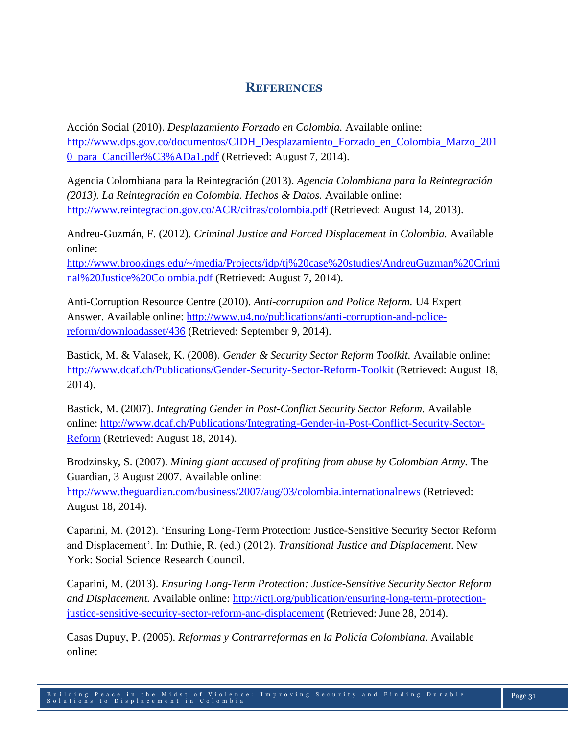## **REFERENCES**

Acción Social (2010). *Desplazamiento Forzado en Colombia.* Available online: [http://www.dps.gov.co/documentos/CIDH\\_Desplazamiento\\_Forzado\\_en\\_Colombia\\_Marzo\\_201](http://www.dps.gov.co/documentos/CIDH_Desplazamiento_Forzado_en_Colombia_Marzo_2010_para_Canciller%C3%ADa1.pdf) [0\\_para\\_Canciller%C3%ADa1.pdf](http://www.dps.gov.co/documentos/CIDH_Desplazamiento_Forzado_en_Colombia_Marzo_2010_para_Canciller%C3%ADa1.pdf) (Retrieved: August 7, 2014).

Agencia Colombiana para la Reintegración (2013). *Agencia Colombiana para la Reintegración (2013). La Reintegración en Colombia. Hechos & Datos.* Available online: <http://www.reintegracion.gov.co/ACR/cifras/colombia.pdf> (Retrieved: August 14, 2013).

Andreu-Guzmán, F. (2012). *Criminal Justice and Forced Displacement in Colombia.* Available online:

[http://www.brookings.edu/~/media/Projects/idp/tj%20case%20studies/AndreuGuzman%20Crimi](http://www.brookings.edu/~/media/Projects/idp/tj%20case%20studies/AndreuGuzman%20Criminal%20Justice%20Colombia.pdf) [nal%20Justice%20Colombia.pdf](http://www.brookings.edu/~/media/Projects/idp/tj%20case%20studies/AndreuGuzman%20Criminal%20Justice%20Colombia.pdf) (Retrieved: August 7, 2014).

Anti-Corruption Resource Centre (2010). *Anti-corruption and Police Reform.* U4 Expert Answer. Available online: [http://www.u4.no/publications/anti-corruption-and-police](http://www.u4.no/publications/anti-corruption-and-police-reform/downloadasset/436)[reform/downloadasset/436](http://www.u4.no/publications/anti-corruption-and-police-reform/downloadasset/436) (Retrieved: September 9, 2014).

Bastick, M. & Valasek, K. (2008). *Gender & Security Sector Reform Toolkit.* Available online: <http://www.dcaf.ch/Publications/Gender-Security-Sector-Reform-Toolkit> (Retrieved: August 18, 2014).

Bastick, M. (2007). *Integrating Gender in Post-Conflict Security Sector Reform.* Available online: [http://www.dcaf.ch/Publications/Integrating-Gender-in-Post-Conflict-Security-Sector-](http://www.dcaf.ch/Publications/Integrating-Gender-in-Post-Conflict-Security-Sector-Reform)[Reform](http://www.dcaf.ch/Publications/Integrating-Gender-in-Post-Conflict-Security-Sector-Reform) (Retrieved: August 18, 2014).

Brodzinsky, S. (2007). *Mining giant accused of profiting from abuse by Colombian Army.* The Guardian, 3 August 2007. Available online:

<http://www.theguardian.com/business/2007/aug/03/colombia.internationalnews> (Retrieved: August 18, 2014).

Caparini, M. (2012). 'Ensuring Long-Term Protection: Justice-Sensitive Security Sector Reform and Displacement'. In: Duthie, R. (ed.) (2012). *Transitional Justice and Displacement*. New York: Social Science Research Council.

Caparini, M. (2013). *Ensuring Long-Term Protection: Justice-Sensitive Security Sector Reform and Displacement.* Available online: [http://ictj.org/publication/ensuring-long-term-protection](http://ictj.org/publication/ensuring-long-term-protection-justice-sensitive-security-sector-reform-and-displacement)[justice-sensitive-security-sector-reform-and-displacement](http://ictj.org/publication/ensuring-long-term-protection-justice-sensitive-security-sector-reform-and-displacement) (Retrieved: June 28, 2014).

Casas Dupuy, P. (2005). *Reformas y Contrarreformas en la Policía Colombiana*. Available online: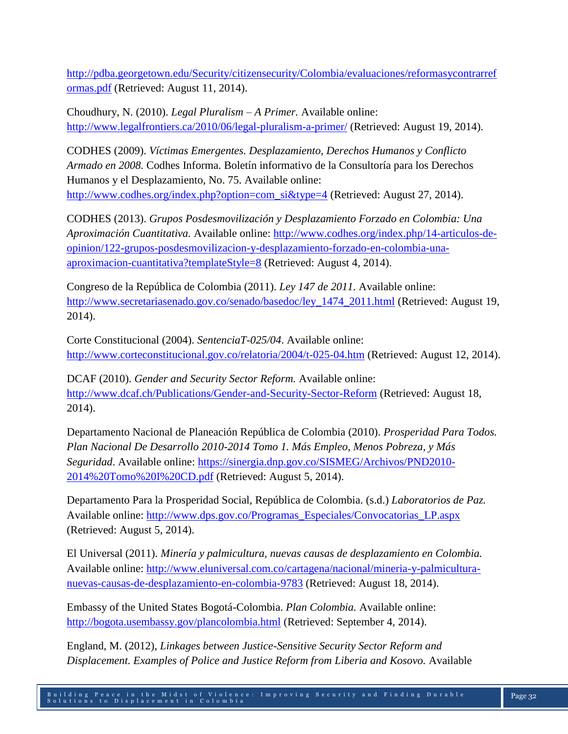[http://pdba.georgetown.edu/Security/citizensecurity/Colombia/evaluaciones/reformasycontrarref](http://pdba.georgetown.edu/Security/citizensecurity/Colombia/evaluaciones/reformasycontrarreformas.pdf) [ormas.pdf](http://pdba.georgetown.edu/Security/citizensecurity/Colombia/evaluaciones/reformasycontrarreformas.pdf) (Retrieved: August 11, 2014).

Choudhury, N. (2010). *Legal Pluralism – A Primer.* Available online: <http://www.legalfrontiers.ca/2010/06/legal-pluralism-a-primer/> (Retrieved: August 19, 2014).

CODHES (2009). *Víctimas Emergentes. Desplazamiento, Derechos Humanos y Conflicto Armado en 2008.* Codhes Informa. Boletín informativo de la Consultoría para los Derechos Humanos y el Desplazamiento, No. 75. Available online: [http://www.codhes.org/index.php?option=com\\_si&type=4](http://www.codhes.org/index.php?option=com_si&type=4) (Retrieved: August 27, 2014).

CODHES (2013). *Grupos Posdesmovilización y Desplazamiento Forzado en Colombia: Una Aproximación Cuantitativa.* Available online: [http://www.codhes.org/index.php/14-articulos-de](http://www.codhes.org/index.php/14-articulos-de-opinion/122-grupos-posdesmovilizacion-y-desplazamiento-forzado-en-colombia-una-aproximacion-cuantitativa?templateStyle=8)[opinion/122-grupos-posdesmovilizacion-y-desplazamiento-forzado-en-colombia-una](http://www.codhes.org/index.php/14-articulos-de-opinion/122-grupos-posdesmovilizacion-y-desplazamiento-forzado-en-colombia-una-aproximacion-cuantitativa?templateStyle=8)[aproximacion-cuantitativa?templateStyle=8](http://www.codhes.org/index.php/14-articulos-de-opinion/122-grupos-posdesmovilizacion-y-desplazamiento-forzado-en-colombia-una-aproximacion-cuantitativa?templateStyle=8) (Retrieved: August 4, 2014).

Congreso de la República de Colombia (2011). *Ley 147 de 2011.* Available online: [http://www.secretariasenado.gov.co/senado/basedoc/ley\\_1474\\_2011.html](http://www.secretariasenado.gov.co/senado/basedoc/ley_1474_2011.html) (Retrieved: August 19, 2014).

Corte Constitucional (2004). *SentenciaT-025/04*. Available online: <http://www.corteconstitucional.gov.co/relatoria/2004/t-025-04.htm> (Retrieved: August 12, 2014).

DCAF (2010). *Gender and Security Sector Reform.* Available online: <http://www.dcaf.ch/Publications/Gender-and-Security-Sector-Reform> (Retrieved: August 18, 2014).

Departamento Nacional de Planeación República de Colombia (2010). *Prosperidad Para Todos. Plan Nacional De Desarrollo 2010-2014 Tomo 1. Más Empleo, Menos Pobreza, y Más Seguridad*. Available online: [https://sinergia.dnp.gov.co/SISMEG/Archivos/PND2010-](https://sinergia.dnp.gov.co/SISMEG/Archivos/PND2010-2014%20Tomo%20I%20CD.pdf) [2014%20Tomo%20I%20CD.pdf](https://sinergia.dnp.gov.co/SISMEG/Archivos/PND2010-2014%20Tomo%20I%20CD.pdf) (Retrieved: August 5, 2014).

Departamento Para la Prosperidad Social, República de Colombia. (s.d.) *Laboratorios de Paz.*  Available online: [http://www.dps.gov.co/Programas\\_Especiales/Convocatorias\\_LP.aspx](http://www.dps.gov.co/Programas_Especiales/Convocatorias_LP.aspx) (Retrieved: August 5, 2014).

El Universal (2011). *Minería y palmicultura, nuevas causas de desplazamiento en Colombia.* Available online: [http://www.eluniversal.com.co/cartagena/nacional/mineria-y-palmicultura](http://www.eluniversal.com.co/cartagena/nacional/mineria-y-palmicultura-nuevas-causas-de-desplazamiento-en-colombia-9783)[nuevas-causas-de-desplazamiento-en-colombia-9783](http://www.eluniversal.com.co/cartagena/nacional/mineria-y-palmicultura-nuevas-causas-de-desplazamiento-en-colombia-9783) (Retrieved: August 18, 2014).

Embassy of the United States Bogotá-Colombia. *Plan Colombia.* Available online: <http://bogota.usembassy.gov/plancolombia.html> (Retrieved: September 4, 2014).

England, M. (2012), *Linkages between Justice-Sensitive Security Sector Reform and Displacement. Examples of Police and Justice Reform from Liberia and Kosovo.* Available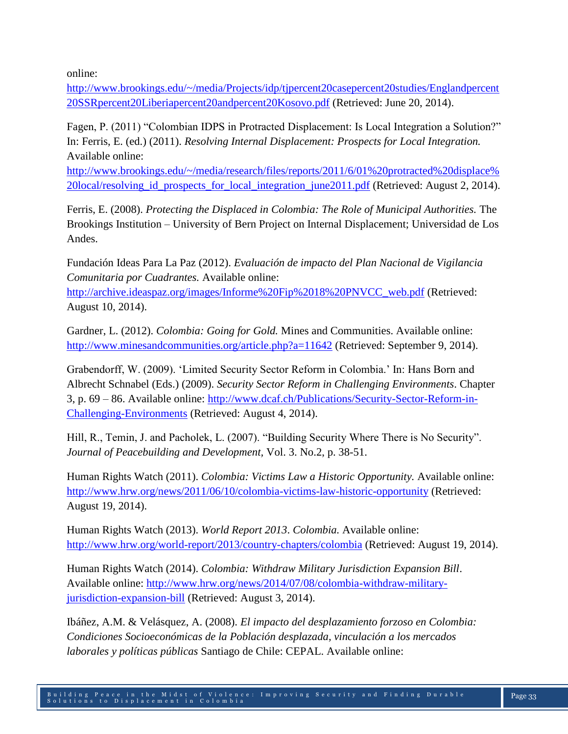online:

[http://www.brookings.edu/~/media/Projects/idp/tjpercent20casepercent20studies/Englandpercent](http://www.brookings.edu/~/media/Projects/idp/tj%20case%20studies/England%20SSR%20Liberia%20and%20Kosovo.pdf) [20SSRpercent20Liberiapercent20andpercent20Kosovo.pdf](http://www.brookings.edu/~/media/Projects/idp/tj%20case%20studies/England%20SSR%20Liberia%20and%20Kosovo.pdf) (Retrieved: June 20, 2014).

Fagen, P. (2011) "Colombian IDPS in Protracted Displacement: Is Local Integration a Solution?" In: Ferris, E. (ed.) (2011). *Resolving Internal Displacement: Prospects for Local Integration.* Available online:

[http://www.brookings.edu/~/media/research/files/reports/2011/6/01%20protracted%20displace%](http://www.brookings.edu/~/media/research/files/reports/2011/6/01%20protracted%20displace%20local/resolving_id_prospects_for_local_integration_june2011.pdf) 20local/resolving id prospects for local integration june2011.pdf (Retrieved: August 2, 2014).

Ferris, E. (2008). *Protecting the Displaced in Colombia: The Role of Municipal Authorities.* The Brookings Institution – University of Bern Project on Internal Displacement; Universidad de Los Andes.

Fundación Ideas Para La Paz (2012). *Evaluación de impacto del Plan Nacional de Vigilancia Comunitaria por Cuadrantes.* Available online:

[http://archive.ideaspaz.org/images/Informe%20Fip%2018%20PNVCC\\_web.pdf](http://archive.ideaspaz.org/images/Informe%20Fip%2018%20PNVCC_web.pdf) (Retrieved: August 10, 2014).

Gardner, L. (2012). *Colombia: Going for Gold.* Mines and Communities. Available online: <http://www.minesandcommunities.org/article.php?a=11642> (Retrieved: September 9, 2014).

Grabendorff, W. (2009). 'Limited Security Sector Reform in Colombia.' In: Hans Born and Albrecht Schnabel (Eds.) (2009). *Security Sector Reform in Challenging Environments*. Chapter 3, p. 69 – 86. Available online: [http://www.dcaf.ch/Publications/Security-Sector-Reform-in-](http://www.dcaf.ch/Publications/Security-Sector-Reform-in-Challenging-Environments)[Challenging-Environments](http://www.dcaf.ch/Publications/Security-Sector-Reform-in-Challenging-Environments) (Retrieved: August 4, 2014).

Hill, R., Temin, J. and Pacholek, L. (2007). "Building Security Where There is No Security". *Journal of Peacebuilding and Development,* Vol. 3. No.2, p. 38-51.

Human Rights Watch (2011). *Colombia: Victims Law a Historic Opportunity.* Available online: <http://www.hrw.org/news/2011/06/10/colombia-victims-law-historic-opportunity> (Retrieved: August 19, 2014).

Human Rights Watch (2013). *World Report 2013*. *Colombia.* Available online: <http://www.hrw.org/world-report/2013/country-chapters/colombia> (Retrieved: August 19, 2014).

Human Rights Watch (2014). *Colombia: Withdraw Military Jurisdiction Expansion Bill*. Available online: [http://www.hrw.org/news/2014/07/08/colombia-withdraw-military](http://www.hrw.org/news/2014/07/08/colombia-withdraw-military-jurisdiction-expansion-bill)[jurisdiction-expansion-bill](http://www.hrw.org/news/2014/07/08/colombia-withdraw-military-jurisdiction-expansion-bill) (Retrieved: August 3, 2014).

Ibáñez, A.M. & Velásquez, A. (2008). *El impacto del desplazamiento forzoso en Colombia: Condiciones Socioeconómicas de la Población desplazada, vinculación a los mercados laborales y políticas públicas* Santiago de Chile: CEPAL. Available online: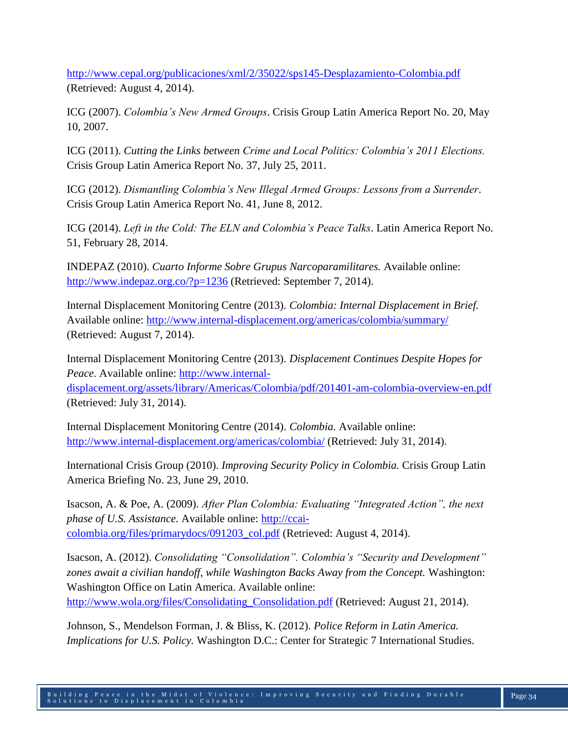<http://www.cepal.org/publicaciones/xml/2/35022/sps145-Desplazamiento-Colombia.pdf> (Retrieved: August 4, 2014).

ICG (2007). *Colombia's New Armed Groups*. Crisis Group Latin America Report No. 20, May 10, 2007.

ICG (2011). *Cutting the Links between Crime and Local Politics: Colombia's 2011 Elections.*  Crisis Group Latin America Report No. 37, July 25, 2011.

ICG (2012). *Dismantling Colombia's New Illegal Armed Groups: Lessons from a Surrender*. Crisis Group Latin America Report No. 41, June 8, 2012.

ICG (2014). *Left in the Cold: The ELN and Colombia's Peace Talks*. Latin America Report No. 51, February 28, 2014.

INDEPAZ (2010). *Cuarto Informe Sobre Grupus Narcoparamilitares.* Available online: <http://www.indepaz.org.co/?p=1236> (Retrieved: September 7, 2014).

Internal Displacement Monitoring Centre (2013). *Colombia: Internal Displacement in Brief.*  Available online:<http://www.internal-displacement.org/americas/colombia/summary/> (Retrieved: August 7, 2014).

Internal Displacement Monitoring Centre (2013). *Displacement Continues Despite Hopes for Peace.* Available online: [http://www.internal-](http://www.internal-displacement.org/assets/library/Americas/Colombia/pdf/201401-am-colombia-overview-en.pdf)

[displacement.org/assets/library/Americas/Colombia/pdf/201401-am-colombia-overview-en.pdf](http://www.internal-displacement.org/assets/library/Americas/Colombia/pdf/201401-am-colombia-overview-en.pdf) (Retrieved: July 31, 2014).

Internal Displacement Monitoring Centre (2014). *Colombia.* Available online: <http://www.internal-displacement.org/americas/colombia/> (Retrieved: July 31, 2014).

International Crisis Group (2010). *Improving Security Policy in Colombia.* Crisis Group Latin America Briefing No. 23, June 29, 2010.

Isacson, A. & Poe, A. (2009). *After Plan Colombia: Evaluating "Integrated Action", the next phase of U.S. Assistance.* Available online: [http://ccai](http://ccai-colombia.org/files/primarydocs/091203_col.pdf)[colombia.org/files/primarydocs/091203\\_col.pdf](http://ccai-colombia.org/files/primarydocs/091203_col.pdf) (Retrieved: August 4, 2014).

Isacson, A. (2012). *Consolidating "Consolidation". Colombia's "Security and Development" zones await a civilian handoff, while Washington Backs Away from the Concept.* Washington: Washington Office on Latin America. Available online:

[http://www.wola.org/files/Consolidating\\_Consolidation.pdf](http://www.wola.org/files/Consolidating_Consolidation.pdf) (Retrieved: August 21, 2014).

Johnson, S., Mendelson Forman, J. & Bliss, K. (2012). *Police Reform in Latin America. Implications for U.S. Policy.* Washington D.C.: Center for Strategic 7 International Studies.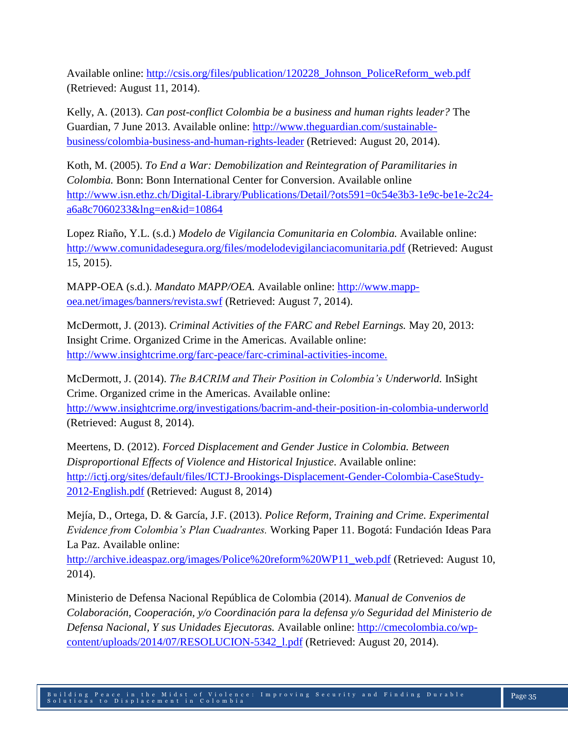Available online: [http://csis.org/files/publication/120228\\_Johnson\\_PoliceReform\\_web.pdf](http://csis.org/files/publication/120228_Johnson_PoliceReform_web.pdf) (Retrieved: August 11, 2014).

Kelly, A. (2013). *Can post-conflict Colombia be a business and human rights leader?* The Guardian, 7 June 2013. Available online: [http://www.theguardian.com/sustainable](http://www.theguardian.com/sustainable-business/colombia-business-and-human-rights-leader)[business/colombia-business-and-human-rights-leader](http://www.theguardian.com/sustainable-business/colombia-business-and-human-rights-leader) (Retrieved: August 20, 2014).

Koth, M. (2005). *To End a War: Demobilization and Reintegration of Paramilitaries in Colombia.* Bonn: Bonn International Center for Conversion. Available online [http://www.isn.ethz.ch/Digital-Library/Publications/Detail/?ots591=0c54e3b3-1e9c-be1e-2c24](http://www.isn.ethz.ch/Digital-Library/Publications/Detail/?ots591=0c54e3b3-1e9c-be1e-2c24-a6a8c7060233&lng=en&id=10864) [a6a8c7060233&lng=en&id=10864](http://www.isn.ethz.ch/Digital-Library/Publications/Detail/?ots591=0c54e3b3-1e9c-be1e-2c24-a6a8c7060233&lng=en&id=10864)

Lopez Riaño, Y.L. (s.d.) *Modelo de Vigilancia Comunitaria en Colombia.* Available online: <http://www.comunidadesegura.org/files/modelodevigilanciacomunitaria.pdf> (Retrieved: August 15, 2015).

MAPP-OEA (s.d.). *Mandato MAPP/OEA.* Available online: [http://www.mapp](http://www.mapp-oea.net/images/banners/revista.swf)[oea.net/images/banners/revista.swf](http://www.mapp-oea.net/images/banners/revista.swf) (Retrieved: August 7, 2014).

McDermott, J. (2013). *Criminal Activities of the FARC and Rebel Earnings.* May 20, 2013: Insight Crime. Organized Crime in the Americas. Available online: [http://www.insightcrime.org/farc-peace/farc-criminal-activities-income.](http://www.insightcrime.org/farc-peace/farc-criminal-activities-income)

McDermott, J. (2014). *The BACRIM and Their Position in Colombia's Underworld.* InSight Crime. Organized crime in the Americas. Available online: <http://www.insightcrime.org/investigations/bacrim-and-their-position-in-colombia-underworld> (Retrieved: August 8, 2014).

Meertens, D. (2012). *Forced Displacement and Gender Justice in Colombia. Between Disproportional Effects of Violence and Historical Injustice*. Available online: [http://ictj.org/sites/default/files/ICTJ-Brookings-Displacement-Gender-Colombia-CaseStudy-](http://ictj.org/sites/default/files/ICTJ-Brookings-Displacement-Gender-Colombia-CaseStudy-2012-English.pdf)[2012-English.pdf](http://ictj.org/sites/default/files/ICTJ-Brookings-Displacement-Gender-Colombia-CaseStudy-2012-English.pdf) (Retrieved: August 8, 2014)

Mejía, D., Ortega, D. & García, J.F. (2013). *Police Reform, Training and Crime. Experimental Evidence from Colombia's Plan Cuadrantes.* Working Paper 11. Bogotá: Fundación Ideas Para La Paz. Available online:

[http://archive.ideaspaz.org/images/Police%20reform%20WP11\\_web.pdf](http://archive.ideaspaz.org/images/Police%20reform%20WP11_web.pdf) (Retrieved: August 10, 2014).

Ministerio de Defensa Nacional República de Colombia (2014). *Manual de Convenios de Colaboración, Cooperación, y/o Coordinación para la defensa y/o Seguridad del Ministerio de Defensa Nacional, Y sus Unidades Ejecutoras.* Available online: [http://cmecolombia.co/wp](http://cmecolombia.co/wp-content/uploads/2014/07/RESOLUCION-5342_l.pdf)[content/uploads/2014/07/RESOLUCION-5342\\_l.pdf](http://cmecolombia.co/wp-content/uploads/2014/07/RESOLUCION-5342_l.pdf) (Retrieved: August 20, 2014).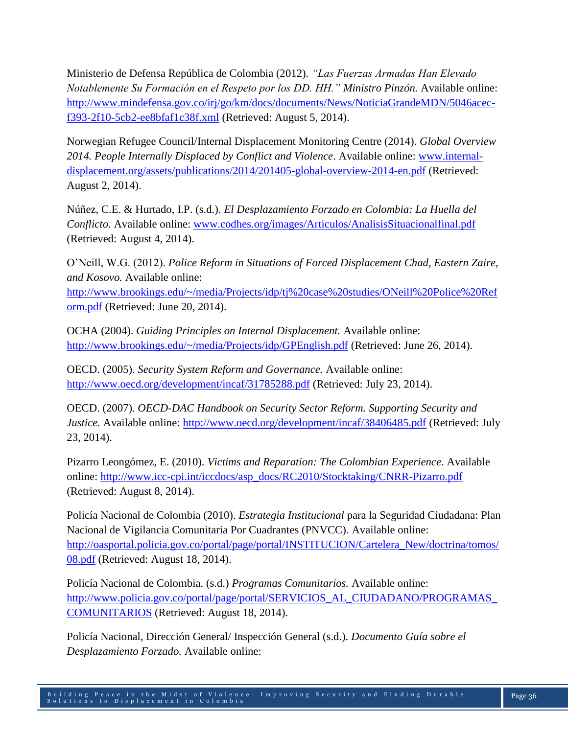Ministerio de Defensa República de Colombia (2012). *"Las Fuerzas Armadas Han Elevado Notablemente Su Formación en el Respeto por los DD. HH." Ministro Pinzón.* Available online: [http://www.mindefensa.gov.co/irj/go/km/docs/documents/News/NoticiaGrandeMDN/5046acec](http://www.mindefensa.gov.co/irj/go/km/docs/documents/News/NoticiaGrandeMDN/5046acec-f393-2f10-5cb2-ee8bfaf1c38f.xml)[f393-2f10-5cb2-ee8bfaf1c38f.xml](http://www.mindefensa.gov.co/irj/go/km/docs/documents/News/NoticiaGrandeMDN/5046acec-f393-2f10-5cb2-ee8bfaf1c38f.xml) (Retrieved: August 5, 2014).

Norwegian Refugee Council/Internal Displacement Monitoring Centre (2014). *Global Overview 2014. People Internally Displaced by Conflict and Violence*. Available online: [www.internal](http://www.internal-displacement.org/assets/publications/2014/201405-global-overview-2014-en.pdf)[displacement.org/assets/publications/2014/201405-global-overview-2014-en.pdf](http://www.internal-displacement.org/assets/publications/2014/201405-global-overview-2014-en.pdf) (Retrieved: August 2, 2014).

Núñez, C.E. & Hurtado, I.P. (s.d.). *El Desplazamiento Forzado en Colombia: La Huella del Conflicto*. Available online: [www.codhes.org/images/Articulos/AnalisisSituacionalfinal.pdf](http://www.codhes.org/images/Articulos/AnalisisSituacionalfinal.pdf) (Retrieved: August 4, 2014).

O'Neill, W.G. (2012). *Police Reform in Situations of Forced Displacement Chad, Eastern Zaire, and Kosovo.* Available online:

[http://www.brookings.edu/~/media/Projects/idp/tj%20case%20studies/ONeill%20Police%20Ref](http://www.brookings.edu/~/media/Projects/idp/tj%20case%20studies/ONeill%20Police%20Reform.pdf) [orm.pdf](http://www.brookings.edu/~/media/Projects/idp/tj%20case%20studies/ONeill%20Police%20Reform.pdf) (Retrieved: June 20, 2014).

OCHA (2004). *Guiding Principles on Internal Displacement.* Available online: <http://www.brookings.edu/~/media/Projects/idp/GPEnglish.pdf> (Retrieved: June 26, 2014).

OECD. (2005). *Security System Reform and Governance.* Available online: <http://www.oecd.org/development/incaf/31785288.pdf> (Retrieved: July 23, 2014).

OECD. (2007). *OECD-DAC Handbook on Security Sector Reform. Supporting Security and Justice.* Available online:<http://www.oecd.org/development/incaf/38406485.pdf> (Retrieved: July 23, 2014).

Pizarro Leongómez, E. (2010). *Victims and Reparation: The Colombian Experience*. Available online: [http://www.icc-cpi.int/iccdocs/asp\\_docs/RC2010/Stocktaking/CNRR-Pizarro.pdf](http://www.icc-cpi.int/iccdocs/asp_docs/RC2010/Stocktaking/CNRR-Pizarro.pdf) (Retrieved: August 8, 2014).

Policía Nacional de Colombia (2010). *Estrategia Institucional* para la Seguridad Ciudadana: Plan Nacional de Vigilancia Comunitaria Por Cuadrantes (PNVCC). Available online: [http://oasportal.policia.gov.co/portal/page/portal/INSTITUCION/Cartelera\\_New/doctrina/tomos/](http://oasportal.policia.gov.co/portal/page/portal/INSTITUCION/Cartelera_New/doctrina/tomos/08.pdf) [08.pdf](http://oasportal.policia.gov.co/portal/page/portal/INSTITUCION/Cartelera_New/doctrina/tomos/08.pdf) (Retrieved: August 18, 2014).

Policía Nacional de Colombia. (s.d.) *Programas Comunitarios.* Available online: [http://www.policia.gov.co/portal/page/portal/SERVICIOS\\_AL\\_CIUDADANO/PROGRAMAS\\_](http://www.policia.gov.co/portal/page/portal/SERVICIOS_AL_CIUDADANO/PROGRAMAS_COMUNITARIOS) [COMUNITARIOS](http://www.policia.gov.co/portal/page/portal/SERVICIOS_AL_CIUDADANO/PROGRAMAS_COMUNITARIOS) (Retrieved: August 18, 2014).

Policía Nacional, Dirección General/ Inspección General (s.d.). *Documento Guía sobre el Desplazamiento Forzado.* Available online: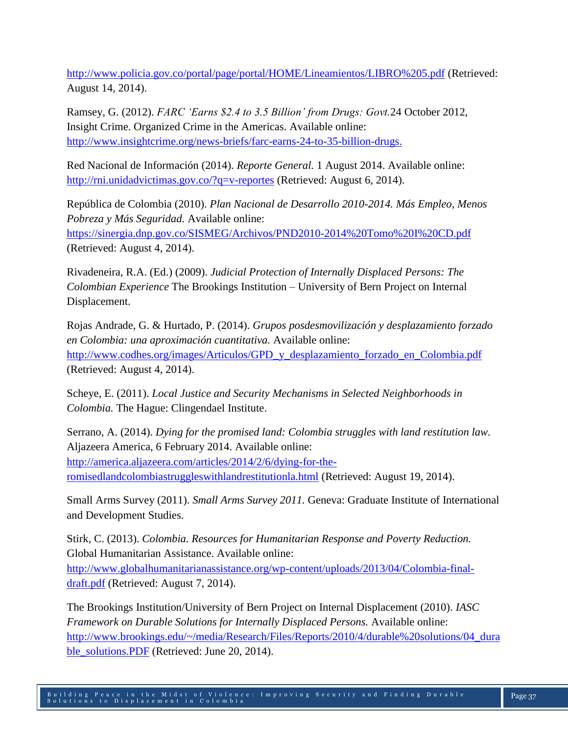<http://www.policia.gov.co/portal/page/portal/HOME/Lineamientos/LIBRO%205.pdf> (Retrieved: August 14, 2014).

Ramsey, G. (2012). *FARC 'Earns \$2.4 to 3.5 Billion' from Drugs: Govt.*24 October 2012, Insight Crime. Organized Crime in the Americas. Available online: [http://www.insightcrime.org/news-briefs/farc-earns-24-to-35-billion-drugs.](http://www.insightcrime.org/news-briefs/farc-earns-24-to-35-billion-drugs)

Red Nacional de Información (2014). *Reporte General.* 1 August 2014. Available online: <http://rni.unidadvictimas.gov.co/?q=v-reportes> (Retrieved: August 6, 2014).

República de Colombia (2010). *Plan Nacional de Desarrollo 2010-2014. Más Empleo, Menos Pobreza y Más Seguridad.* Available online: <https://sinergia.dnp.gov.co/SISMEG/Archivos/PND2010-2014%20Tomo%20I%20CD.pdf> (Retrieved: August 4, 2014).

Rivadeneira, R.A. (Ed.) (2009). *Judicial Protection of Internally Displaced Persons: The Colombian Experience* The Brookings Institution – University of Bern Project on Internal Displacement.

Rojas Andrade, G. & Hurtado, P. (2014). *Grupos posdesmovilización y desplazamiento forzado en Colombia: una aproximación cuantitativa.* Available online: [http://www.codhes.org/images/Articulos/GPD\\_y\\_desplazamiento\\_forzado\\_en\\_Colombia.pdf](http://www.codhes.org/images/Articulos/GPD_y_desplazamiento_forzado_en_Colombia.pdf) (Retrieved: August 4, 2014).

Scheye, E. (2011). *Local Justice and Security Mechanisms in Selected Neighborhoods in Colombia.* The Hague: Clingendael Institute.

Serrano, A. (2014). *Dying for the promised land: Colombia struggles with land restitution law.*  Aljazeera America, 6 February 2014. Available online: [http://america.aljazeera.com/articles/2014/2/6/dying-for-the](http://america.aljazeera.com/articles/2014/2/6/dying-for-the-romisedlandcolombiastruggleswithlandrestitutionla.html)[romisedlandcolombiastruggleswithlandrestitutionla.html](http://america.aljazeera.com/articles/2014/2/6/dying-for-the-romisedlandcolombiastruggleswithlandrestitutionla.html) (Retrieved: August 19, 2014).

Small Arms Survey (2011). *Small Arms Survey 2011.* Geneva: Graduate Institute of International and Development Studies.

Stirk, C. (2013). *Colombia. Resources for Humanitarian Response and Poverty Reduction.* Global Humanitarian Assistance. Available online: [http://www.globalhumanitarianassistance.org/wp-content/uploads/2013/04/Colombia-final](http://www.globalhumanitarianassistance.org/wp-content/uploads/2013/04/Colombia-final-draft.pdf)[draft.pdf](http://www.globalhumanitarianassistance.org/wp-content/uploads/2013/04/Colombia-final-draft.pdf) (Retrieved: August 7, 2014).

The Brookings Institution/University of Bern Project on Internal Displacement (2010). *IASC Framework on Durable Solutions for Internally Displaced Persons.* Available online: [http://www.brookings.edu/~/media/Research/Files/Reports/2010/4/durable%20solutions/04\\_dura](http://www.brookings.edu/~/media/Research/Files/Reports/2010/4/durable%20solutions/04_durable_solutions.PDF) [ble\\_solutions.PDF](http://www.brookings.edu/~/media/Research/Files/Reports/2010/4/durable%20solutions/04_durable_solutions.PDF) (Retrieved: June 20, 2014).